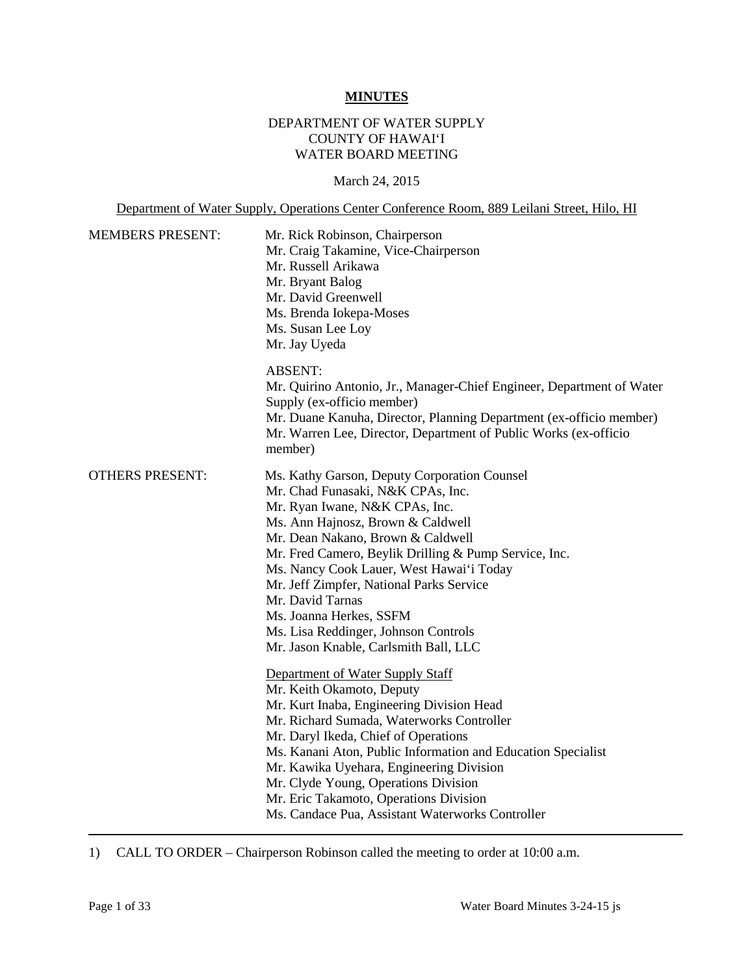#### **MINUTES**

### DEPARTMENT OF WATER SUPPLY COUNTY OF HAWAI'I WATER BOARD MEETING

March 24, 2015

Department of Water Supply, Operations Center Conference Room, 889 Leilani Street, Hilo, HI

| <b>MEMBERS PRESENT:</b> | Mr. Rick Robinson, Chairperson<br>Mr. Craig Takamine, Vice-Chairperson<br>Mr. Russell Arikawa<br>Mr. Bryant Balog<br>Mr. David Greenwell<br>Ms. Brenda Iokepa-Moses<br>Ms. Susan Lee Loy<br>Mr. Jay Uyeda                                                                                                                                                                                                                                                                                                                                                                                                                                                                                                                                                                                                                                                                                                                           |
|-------------------------|-------------------------------------------------------------------------------------------------------------------------------------------------------------------------------------------------------------------------------------------------------------------------------------------------------------------------------------------------------------------------------------------------------------------------------------------------------------------------------------------------------------------------------------------------------------------------------------------------------------------------------------------------------------------------------------------------------------------------------------------------------------------------------------------------------------------------------------------------------------------------------------------------------------------------------------|
|                         | <b>ABSENT:</b><br>Mr. Quirino Antonio, Jr., Manager-Chief Engineer, Department of Water<br>Supply (ex-officio member)<br>Mr. Duane Kanuha, Director, Planning Department (ex-officio member)<br>Mr. Warren Lee, Director, Department of Public Works (ex-officio<br>member)                                                                                                                                                                                                                                                                                                                                                                                                                                                                                                                                                                                                                                                         |
| <b>OTHERS PRESENT:</b>  | Ms. Kathy Garson, Deputy Corporation Counsel<br>Mr. Chad Funasaki, N&K CPAs, Inc.<br>Mr. Ryan Iwane, N&K CPAs, Inc.<br>Ms. Ann Hajnosz, Brown & Caldwell<br>Mr. Dean Nakano, Brown & Caldwell<br>Mr. Fred Camero, Beylik Drilling & Pump Service, Inc.<br>Ms. Nancy Cook Lauer, West Hawai'i Today<br>Mr. Jeff Zimpfer, National Parks Service<br>Mr. David Tarnas<br>Ms. Joanna Herkes, SSFM<br>Ms. Lisa Reddinger, Johnson Controls<br>Mr. Jason Knable, Carlsmith Ball, LLC<br>Department of Water Supply Staff<br>Mr. Keith Okamoto, Deputy<br>Mr. Kurt Inaba, Engineering Division Head<br>Mr. Richard Sumada, Waterworks Controller<br>Mr. Daryl Ikeda, Chief of Operations<br>Ms. Kanani Aton, Public Information and Education Specialist<br>Mr. Kawika Uyehara, Engineering Division<br>Mr. Clyde Young, Operations Division<br>Mr. Eric Takamoto, Operations Division<br>Ms. Candace Pua, Assistant Waterworks Controller |

1) CALL TO ORDER – Chairperson Robinson called the meeting to order at 10:00 a.m.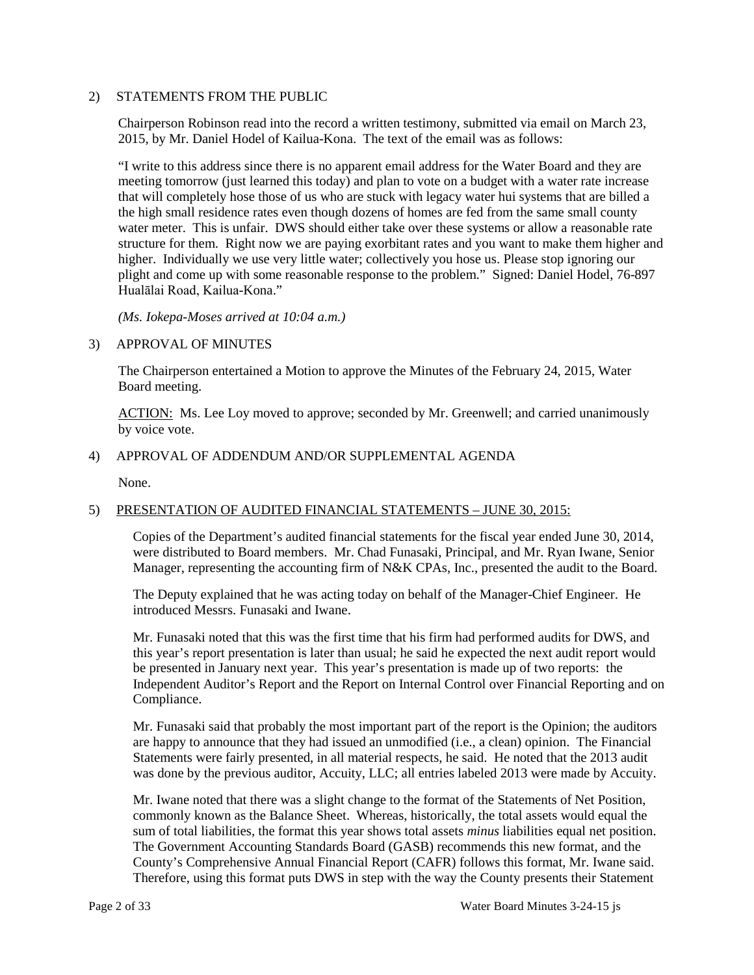#### 2) STATEMENTS FROM THE PUBLIC

 Chairperson Robinson read into the record a written testimony, submitted via email on March 23, 2015, by Mr. Daniel Hodel of Kailua-Kona. The text of the email was as follows:

 meeting tomorrow (just learned this today) and plan to vote on a budget with a water rate increase water meter. This is unfair. DWS should either take over these systems or allow a reasonable rate "I write to this address since there is no apparent email address for the Water Board and they are that will completely hose those of us who are stuck with legacy water hui systems that are billed a the high small residence rates even though dozens of homes are fed from the same small county structure for them. Right now we are paying exorbitant rates and you want to make them higher and higher. Individually we use very little water; collectively you hose us. Please stop ignoring our plight and come up with some reasonable response to the problem." Signed: Daniel Hodel, 76-897 Hualālai Road, Kailua-Kona."

*(Ms. Iokepa-Moses arrived at 10:04 a.m.)* 

#### 3) APPROVAL OF MINUTES

 The Chairperson entertained a Motion to approve the Minutes of the February 24, 2015, Water Board meeting.

ACTION: Ms. Lee Loy moved to approve; seconded by Mr. Greenwell; and carried unanimously by voice vote.

#### 4) APPROVAL OF ADDENDUM AND/OR SUPPLEMENTAL AGENDA

None.

#### 5) PRESENTATION OF AUDITED FINANCIAL STATEMENTS – JUNE 30, 2015:

 Manager, representing the accounting firm of N&K CPAs, Inc., presented the audit to the Board. Copies of the Department's audited financial statements for the fiscal year ended June 30, 2014, were distributed to Board members. Mr. Chad Funasaki, Principal, and Mr. Ryan Iwane, Senior

 The Deputy explained that he was acting today on behalf of the Manager-Chief Engineer. He introduced Messrs. Funasaki and Iwane.

 this year's report presentation is later than usual; he said he expected the next audit report would be presented in January next year. This year's presentation is made up of two reports: the Mr. Funasaki noted that this was the first time that his firm had performed audits for DWS, and Independent Auditor's Report and the Report on Internal Control over Financial Reporting and on Compliance.

 Mr. Funasaki said that probably the most important part of the report is the Opinion; the auditors are happy to announce that they had issued an unmodified (i.e., a clean) opinion. The Financial Statements were fairly presented, in all material respects, he said. He noted that the 2013 audit was done by the previous auditor, Accuity, LLC; all entries labeled 2013 were made by Accuity.

 sum of total liabilities, the format this year shows total assets *minus* liabilities equal net position. Mr. Iwane noted that there was a slight change to the format of the Statements of Net Position, commonly known as the Balance Sheet. Whereas, historically, the total assets would equal the The Government Accounting Standards Board (GASB) recommends this new format, and the County's Comprehensive Annual Financial Report (CAFR) follows this format, Mr. Iwane said. Therefore, using this format puts DWS in step with the way the County presents their Statement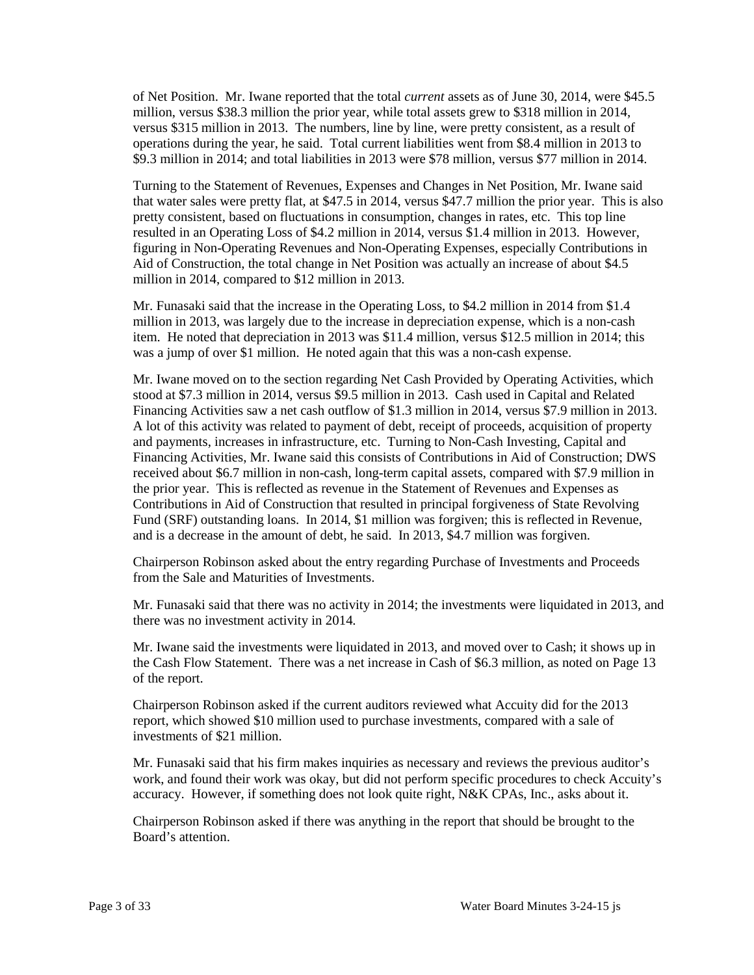of Net Position. Mr. Iwane reported that the total *current* assets as of June 30, 2014, were \$45.5 million, versus \$38.3 million the prior year, while total assets grew to \$318 million in 2014, versus \$315 million in 2013. The numbers, line by line, were pretty consistent, as a result of operations during the year, he said. Total current liabilities went from \$8.4 million in 2013 to \$9.3 million in 2014; and total liabilities in 2013 were \$78 million, versus \$77 million in 2014.

 that water sales were pretty flat, at \$47.5 in 2014, versus \$47.7 million the prior year. This is also pretty consistent, based on fluctuations in consumption, changes in rates, etc. This top line Turning to the Statement of Revenues, Expenses and Changes in Net Position, Mr. Iwane said resulted in an Operating Loss of \$4.2 million in 2014, versus \$1.4 million in 2013. However, figuring in Non-Operating Revenues and Non-Operating Expenses, especially Contributions in Aid of Construction, the total change in Net Position was actually an increase of about \$4.5 million in 2014, compared to \$12 million in 2013.

 Mr. Funasaki said that the increase in the Operating Loss, to \$4.2 million in 2014 from \$1.4 million in 2013, was largely due to the increase in depreciation expense, which is a non-cash item. He noted that depreciation in 2013 was \$11.4 million, versus \$12.5 million in 2014; this was a jump of over \$1 million. He noted again that this was a non-cash expense.

 and payments, increases in infrastructure, etc. Turning to Non-Cash Investing, Capital and the prior year. This is reflected as revenue in the Statement of Revenues and Expenses as Fund (SRF) outstanding loans. In 2014, \$1 million was forgiven; this is reflected in Revenue, Mr. Iwane moved on to the section regarding Net Cash Provided by Operating Activities, which stood at \$7.3 million in 2014, versus \$9.5 million in 2013. Cash used in Capital and Related Financing Activities saw a net cash outflow of \$1.3 million in 2014, versus \$7.9 million in 2013. A lot of this activity was related to payment of debt, receipt of proceeds, acquisition of property Financing Activities, Mr. Iwane said this consists of Contributions in Aid of Construction; DWS received about \$6.7 million in non-cash, long-term capital assets, compared with \$7.9 million in Contributions in Aid of Construction that resulted in principal forgiveness of State Revolving and is a decrease in the amount of debt, he said. In 2013, \$4.7 million was forgiven.

Chairperson Robinson asked about the entry regarding Purchase of Investments and Proceeds from the Sale and Maturities of Investments.

 Mr. Funasaki said that there was no activity in 2014; the investments were liquidated in 2013, and there was no investment activity in 2014.

 the Cash Flow Statement. There was a net increase in Cash of \$6.3 million, as noted on Page 13 Mr. Iwane said the investments were liquidated in 2013, and moved over to Cash; it shows up in of the report.

 Chairperson Robinson asked if the current auditors reviewed what Accuity did for the 2013 report, which showed \$10 million used to purchase investments, compared with a sale of investments of \$21 million.

 accuracy. However, if something does not look quite right, N&K CPAs, Inc., asks about it. Mr. Funasaki said that his firm makes inquiries as necessary and reviews the previous auditor's work, and found their work was okay, but did not perform specific procedures to check Accuity's

Chairperson Robinson asked if there was anything in the report that should be brought to the Board's attention.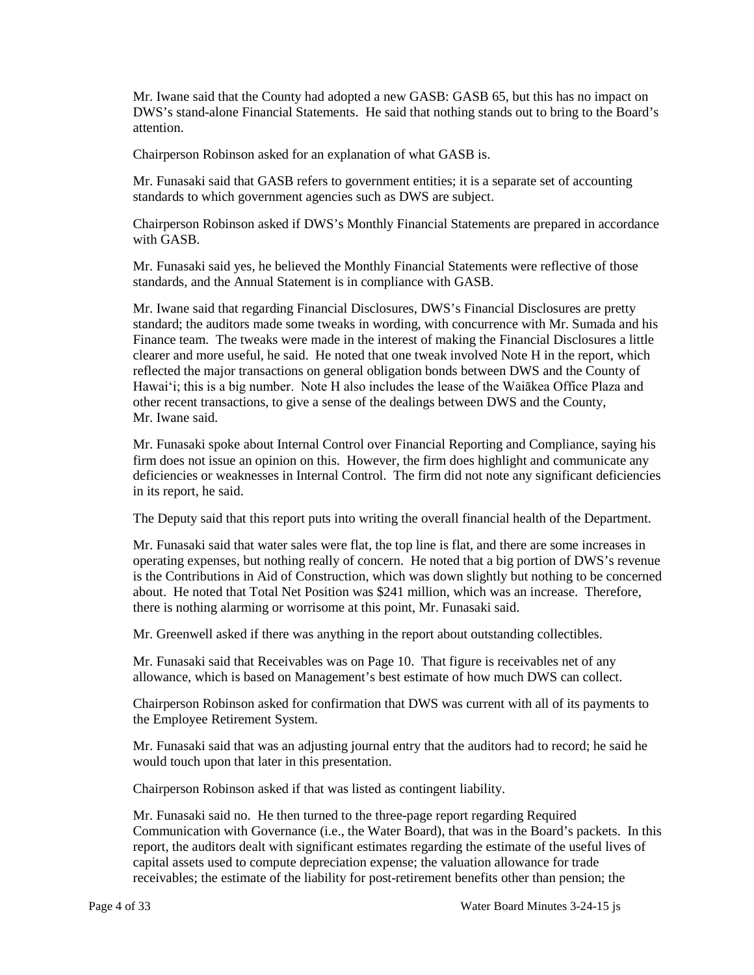Mr. Iwane said that the County had adopted a new GASB: GASB 65, but this has no impact on DWS's stand-alone Financial Statements. He said that nothing stands out to bring to the Board's attention.

Chairperson Robinson asked for an explanation of what GASB is.

 Mr. Funasaki said that GASB refers to government entities; it is a separate set of accounting standards to which government agencies such as DWS are subject.

Chairperson Robinson asked if DWS's Monthly Financial Statements are prepared in accordance with GASB.

 standards, and the Annual Statement is in compliance with GASB. Mr. Funasaki said yes, he believed the Monthly Financial Statements were reflective of those

 clearer and more useful, he said. He noted that one tweak involved Note H in the report, which Hawai'i; this is a big number. Note H also includes the lease of the Waiākea Office Plaza and other recent transactions, to give a sense of the dealings between DWS and the County, Mr. Iwane said. Mr. Iwane said that regarding Financial Disclosures, DWS's Financial Disclosures are pretty standard; the auditors made some tweaks in wording, with concurrence with Mr. Sumada and his Finance team. The tweaks were made in the interest of making the Financial Disclosures a little reflected the major transactions on general obligation bonds between DWS and the County of

 deficiencies or weaknesses in Internal Control. The firm did not note any significant deficiencies Mr. Funasaki spoke about Internal Control over Financial Reporting and Compliance, saying his firm does not issue an opinion on this. However, the firm does highlight and communicate any in its report, he said.

The Deputy said that this report puts into writing the overall financial health of the Department.

 Mr. Funasaki said that water sales were flat, the top line is flat, and there are some increases in operating expenses, but nothing really of concern. He noted that a big portion of DWS's revenue about. He noted that Total Net Position was \$241 million, which was an increase. Therefore, is the Contributions in Aid of Construction, which was down slightly but nothing to be concerned there is nothing alarming or worrisome at this point, Mr. Funasaki said.

Mr. Greenwell asked if there was anything in the report about outstanding collectibles.

 Mr. Funasaki said that Receivables was on Page 10. That figure is receivables net of any allowance, which is based on Management's best estimate of how much DWS can collect.

Chairperson Robinson asked for confirmation that DWS was current with all of its payments to the Employee Retirement System.

Mr. Funasaki said that was an adjusting journal entry that the auditors had to record; he said he would touch upon that later in this presentation.

Chairperson Robinson asked if that was listed as contingent liability.

 Mr. Funasaki said no. He then turned to the three-page report regarding Required receivables; the estimate of the liability for post-retirement benefits other than pension; the Communication with Governance (i.e., the Water Board), that was in the Board's packets. In this report, the auditors dealt with significant estimates regarding the estimate of the useful lives of capital assets used to compute depreciation expense; the valuation allowance for trade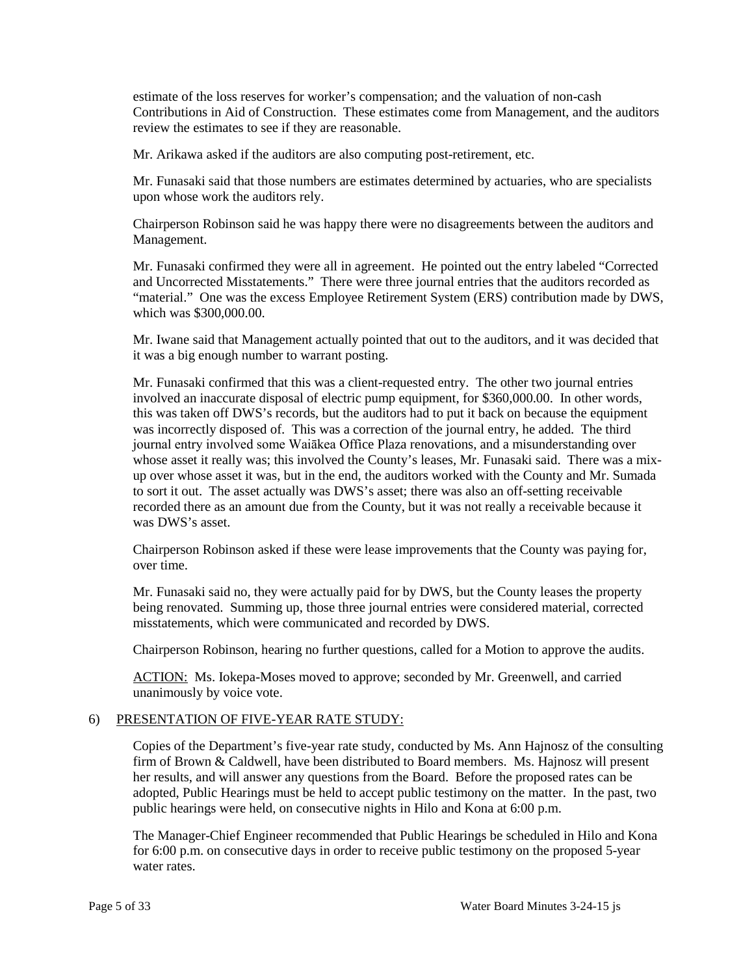Contributions in Aid of Construction. These estimates come from Management, and the auditors review the estimates to see if they are reasonable. estimate of the loss reserves for worker's compensation; and the valuation of non-cash

Mr. Arikawa asked if the auditors are also computing post-retirement, etc.

 Mr. Funasaki said that those numbers are estimates determined by actuaries, who are specialists upon whose work the auditors rely.

Chairperson Robinson said he was happy there were no disagreements between the auditors and Management.

 Mr. Funasaki confirmed they were all in agreement. He pointed out the entry labeled "Corrected and Uncorrected Misstatements." There were three journal entries that the auditors recorded as "material." One was the excess Employee Retirement System (ERS) contribution made by DWS, which was \$300,000.00.

Mr. Iwane said that Management actually pointed that out to the auditors, and it was decided that it was a big enough number to warrant posting.

 was incorrectly disposed of. This was a correction of the journal entry, he added. The third whose asset it really was; this involved the County's leases, Mr. Funasaki said. There was a mix- up over whose asset it was, but in the end, the auditors worked with the County and Mr. Sumada to sort it out. The asset actually was DWS's asset; there was also an off-setting receivable recorded there as an amount due from the County, but it was not really a receivable because it Mr. Funasaki confirmed that this was a client-requested entry. The other two journal entries involved an inaccurate disposal of electric pump equipment, for \$360,000.00. In other words, this was taken off DWS's records, but the auditors had to put it back on because the equipment journal entry involved some Waiākea Office Plaza renovations, and a misunderstanding over was DWS's asset.

Chairperson Robinson asked if these were lease improvements that the County was paying for, over time.

 Mr. Funasaki said no, they were actually paid for by DWS, but the County leases the property being renovated. Summing up, those three journal entries were considered material, corrected misstatements, which were communicated and recorded by DWS.

Chairperson Robinson, hearing no further questions, called for a Motion to approve the audits.

ACTION: Ms. Iokepa-Moses moved to approve; seconded by Mr. Greenwell, and carried unanimously by voice vote.

### 6) PRESENTATION OF FIVE-YEAR RATE STUDY:

 Copies of the Department's five-year rate study, conducted by Ms. Ann Hajnosz of the consulting firm of Brown & Caldwell, have been distributed to Board members. Ms. Hajnosz will present her results, and will answer any questions from the Board. Before the proposed rates can be adopted, Public Hearings must be held to accept public testimony on the matter. In the past, two public hearings were held, on consecutive nights in Hilo and Kona at 6:00 p.m.

The Manager-Chief Engineer recommended that Public Hearings be scheduled in Hilo and Kona for 6:00 p.m. on consecutive days in order to receive public testimony on the proposed 5-year water rates.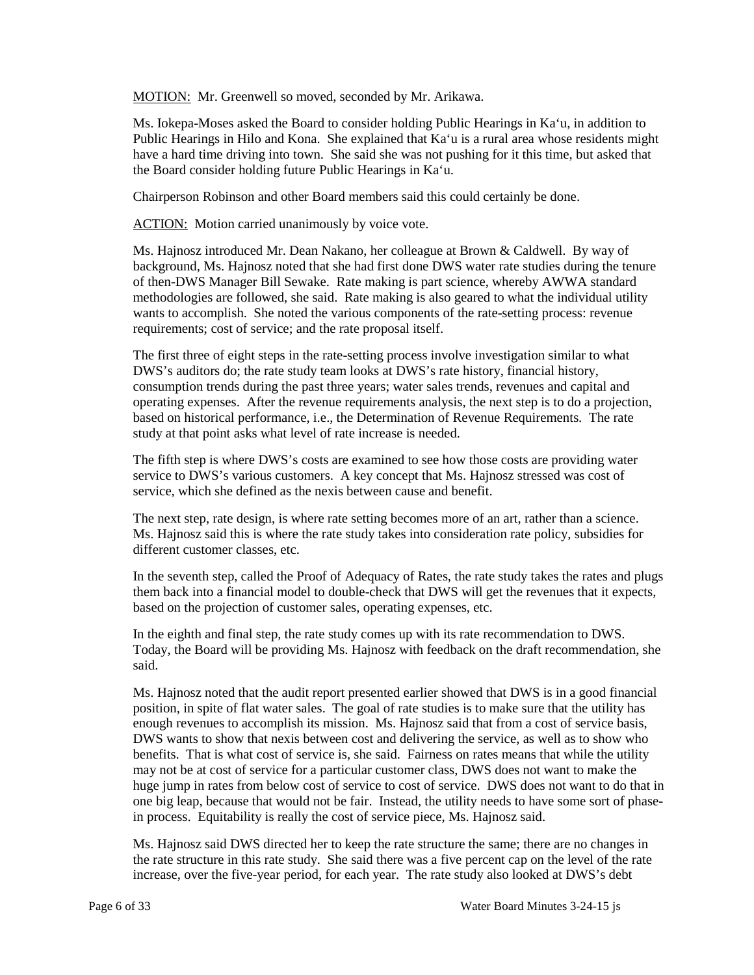MOTION: Mr. Greenwell so moved, seconded by Mr. Arikawa.

 Public Hearings in Hilo and Kona. She explained that Ka'u is a rural area whose residents might Ms. Iokepa-Moses asked the Board to consider holding Public Hearings in Ka'u, in addition to have a hard time driving into town. She said she was not pushing for it this time, but asked that the Board consider holding future Public Hearings in Ka'u.

Chairperson Robinson and other Board members said this could certainly be done.

**ACTION:** Motion carried unanimously by voice vote.

 background, Ms. Hajnosz noted that she had first done DWS water rate studies during the tenure requirements; cost of service; and the rate proposal itself. Ms. Hajnosz introduced Mr. Dean Nakano, her colleague at Brown & Caldwell. By way of of then-DWS Manager Bill Sewake. Rate making is part science, whereby AWWA standard methodologies are followed, she said. Rate making is also geared to what the individual utility wants to accomplish. She noted the various components of the rate-setting process: revenue

 The first three of eight steps in the rate-setting process involve investigation similar to what operating expenses. After the revenue requirements analysis, the next step is to do a projection, DWS's auditors do; the rate study team looks at DWS's rate history, financial history, consumption trends during the past three years; water sales trends, revenues and capital and based on historical performance, i.e., the Determination of Revenue Requirements. The rate study at that point asks what level of rate increase is needed.

 The fifth step is where DWS's costs are examined to see how those costs are providing water service to DWS's various customers. A key concept that Ms. Hajnosz stressed was cost of service, which she defined as the nexis between cause and benefit.

 The next step, rate design, is where rate setting becomes more of an art, rather than a science. Ms. Hajnosz said this is where the rate study takes into consideration rate policy, subsidies for different customer classes, etc.

In the seventh step, called the Proof of Adequacy of Rates, the rate study takes the rates and plugs them back into a financial model to double-check that DWS will get the revenues that it expects, based on the projection of customer sales, operating expenses, etc.

In the eighth and final step, the rate study comes up with its rate recommendation to DWS. Today, the Board will be providing Ms. Hajnosz with feedback on the draft recommendation, she said.

 position, in spite of flat water sales. The goal of rate studies is to make sure that the utility has enough revenues to accomplish its mission. Ms. Hajnosz said that from a cost of service basis, benefits. That is what cost of service is, she said. Fairness on rates means that while the utility one big leap, because that would not be fair. Instead, the utility needs to have some sort of phase-Ms. Hajnosz noted that the audit report presented earlier showed that DWS is in a good financial DWS wants to show that nexis between cost and delivering the service, as well as to show who may not be at cost of service for a particular customer class, DWS does not want to make the huge jump in rates from below cost of service to cost of service. DWS does not want to do that in in process. Equitability is really the cost of service piece, Ms. Hajnosz said.

 increase, over the five-year period, for each year. The rate study also looked at DWS's debt Ms. Hajnosz said DWS directed her to keep the rate structure the same; there are no changes in the rate structure in this rate study. She said there was a five percent cap on the level of the rate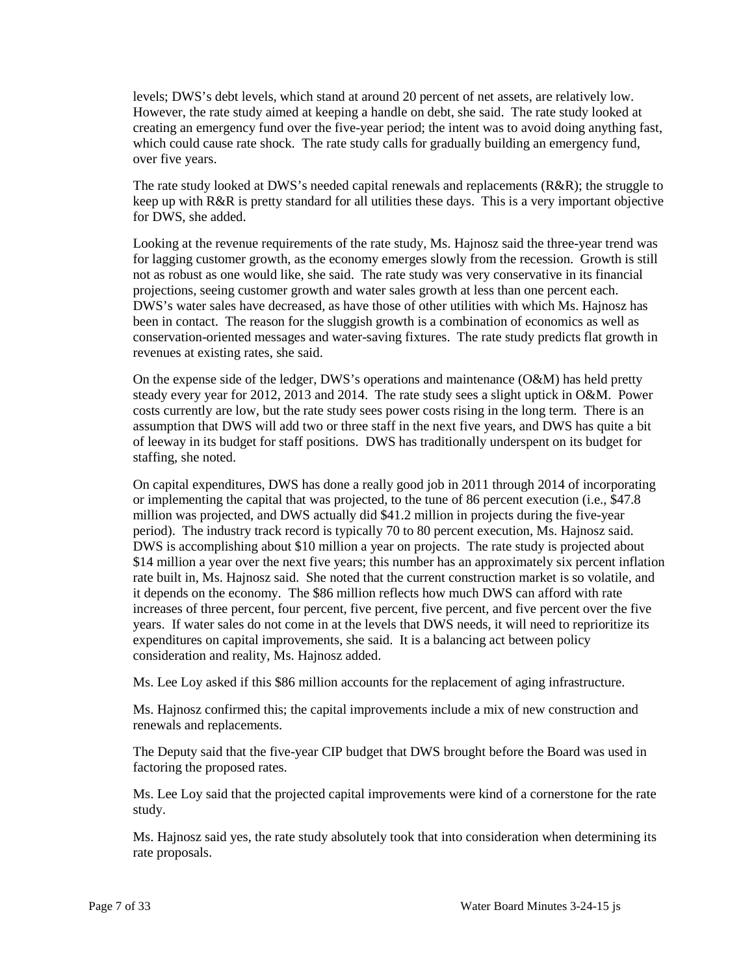levels; DWS's debt levels, which stand at around 20 percent of net assets, are relatively low. However, the rate study aimed at keeping a handle on debt, she said. The rate study looked at which could cause rate shock. The rate study calls for gradually building an emergency fund, creating an emergency fund over the five-year period; the intent was to avoid doing anything fast, over five years.

 keep up with R&R is pretty standard for all utilities these days. This is a very important objective The rate study looked at DWS's needed capital renewals and replacements (R&R); the struggle to for DWS, she added.

 Looking at the revenue requirements of the rate study, Ms. Hajnosz said the three-year trend was for lagging customer growth, as the economy emerges slowly from the recession. Growth is still not as robust as one would like, she said. The rate study was very conservative in its financial projections, seeing customer growth and water sales growth at less than one percent each. been in contact. The reason for the sluggish growth is a combination of economics as well as conservation-oriented messages and water-saving fixtures. The rate study predicts flat growth in DWS's water sales have decreased, as have those of other utilities with which Ms. Hajnosz has revenues at existing rates, she said.

 On the expense side of the ledger, DWS's operations and maintenance (O&M) has held pretty costs currently are low, but the rate study sees power costs rising in the long term. There is an assumption that DWS will add two or three staff in the next five years, and DWS has quite a bit of leeway in its budget for staff positions. DWS has traditionally underspent on its budget for steady every year for 2012, 2013 and 2014. The rate study sees a slight uptick in O&M. Power staffing, she noted.

 On capital expenditures, DWS has done a really good job in 2011 through 2014 of incorporating or implementing the capital that was projected, to the tune of 86 percent execution (i.e., \$47.8 period). The industry track record is typically 70 to 80 percent execution, Ms. Hajnosz said. DWS is accomplishing about \$10 million a year on projects. The rate study is projected about \$14 million a year over the next five years; this number has an approximately six percent inflation it depends on the economy. The \$86 million reflects how much DWS can afford with rate increases of three percent, four percent, five percent, five percent, and five percent over the five years. If water sales do not come in at the levels that DWS needs, it will need to reprioritize its million was projected, and DWS actually did \$41.2 million in projects during the five-year rate built in, Ms. Hajnosz said. She noted that the current construction market is so volatile, and expenditures on capital improvements, she said. It is a balancing act between policy consideration and reality, Ms. Hajnosz added.

Ms. Lee Loy asked if this \$86 million accounts for the replacement of aging infrastructure.

Ms. Hajnosz confirmed this; the capital improvements include a mix of new construction and renewals and replacements.

The Deputy said that the five-year CIP budget that DWS brought before the Board was used in factoring the proposed rates.

 Ms. Lee Loy said that the projected capital improvements were kind of a cornerstone for the rate study.

 Ms. Hajnosz said yes, the rate study absolutely took that into consideration when determining its rate proposals.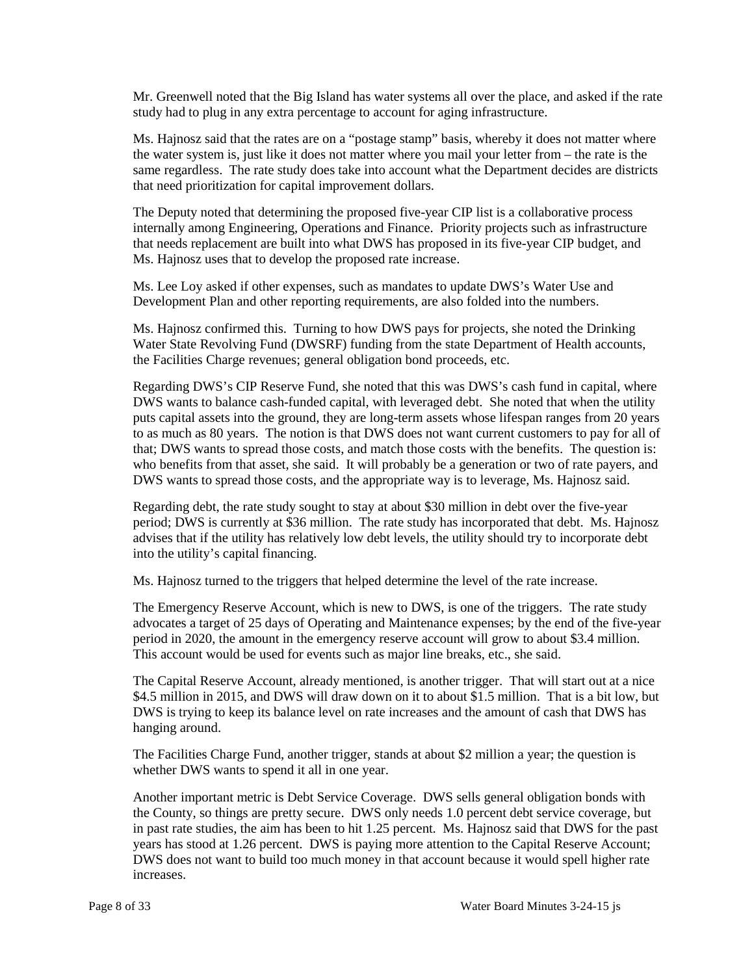Mr. Greenwell noted that the Big Island has water systems all over the place, and asked if the rate study had to plug in any extra percentage to account for aging infrastructure.

 the water system is, just like it does not matter where you mail your letter from – the rate is the same regardless. The rate study does take into account what the Department decides are districts Ms. Hajnosz said that the rates are on a "postage stamp" basis, whereby it does not matter where that need prioritization for capital improvement dollars.

 that needs replacement are built into what DWS has proposed in its five-year CIP budget, and Ms. Hajnosz uses that to develop the proposed rate increase. The Deputy noted that determining the proposed five-year CIP list is a collaborative process internally among Engineering, Operations and Finance. Priority projects such as infrastructure

 Ms. Lee Loy asked if other expenses, such as mandates to update DWS's Water Use and Development Plan and other reporting requirements, are also folded into the numbers.

 Ms. Hajnosz confirmed this. Turning to how DWS pays for projects, she noted the Drinking Water State Revolving Fund (DWSRF) funding from the state Department of Health accounts, the Facilities Charge revenues; general obligation bond proceeds, etc.

 puts capital assets into the ground, they are long-term assets whose lifespan ranges from 20 years Regarding DWS's CIP Reserve Fund, she noted that this was DWS's cash fund in capital, where DWS wants to balance cash-funded capital, with leveraged debt. She noted that when the utility to as much as 80 years. The notion is that DWS does not want current customers to pay for all of that; DWS wants to spread those costs, and match those costs with the benefits. The question is: who benefits from that asset, she said. It will probably be a generation or two of rate payers, and DWS wants to spread those costs, and the appropriate way is to leverage, Ms. Hajnosz said.

Regarding debt, the rate study sought to stay at about \$30 million in debt over the five-year period; DWS is currently at \$36 million. The rate study has incorporated that debt. Ms. Hajnosz advises that if the utility has relatively low debt levels, the utility should try to incorporate debt into the utility's capital financing.

Ms. Hajnosz turned to the triggers that helped determine the level of the rate increase.

 advocates a target of 25 days of Operating and Maintenance expenses; by the end of the five-year This account would be used for events such as major line breaks, etc., she said. The Emergency Reserve Account, which is new to DWS, is one of the triggers. The rate study period in 2020, the amount in the emergency reserve account will grow to about \$3.4 million.

 The Capital Reserve Account, already mentioned, is another trigger. That will start out at a nice \$4.5 million in 2015, and DWS will draw down on it to about \$1.5 million. That is a bit low, but DWS is trying to keep its balance level on rate increases and the amount of cash that DWS has hanging around.

 The Facilities Charge Fund, another trigger, stands at about \$2 million a year; the question is whether DWS wants to spend it all in one year.

 the County, so things are pretty secure. DWS only needs 1.0 percent debt service coverage, but DWS does not want to build too much money in that account because it would spell higher rate Another important metric is Debt Service Coverage. DWS sells general obligation bonds with in past rate studies, the aim has been to hit 1.25 percent. Ms. Hajnosz said that DWS for the past years has stood at 1.26 percent. DWS is paying more attention to the Capital Reserve Account; increases.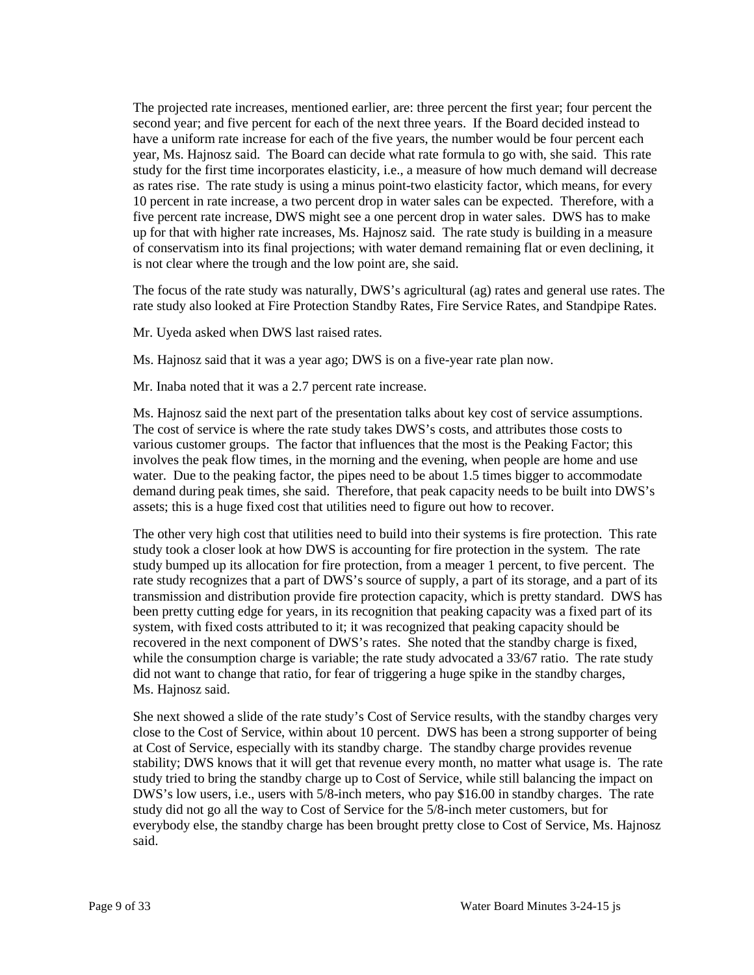year, Ms. Hajnosz said. The Board can decide what rate formula to go with, she said. This rate as rates rise. The rate study is using a minus point-two elasticity factor, which means, for every is not clear where the trough and the low point are, she said. The projected rate increases, mentioned earlier, are: three percent the first year; four percent the second year; and five percent for each of the next three years. If the Board decided instead to have a uniform rate increase for each of the five years, the number would be four percent each study for the first time incorporates elasticity, i.e., a measure of how much demand will decrease 10 percent in rate increase, a two percent drop in water sales can be expected. Therefore, with a five percent rate increase, DWS might see a one percent drop in water sales. DWS has to make up for that with higher rate increases, Ms. Hajnosz said. The rate study is building in a measure of conservatism into its final projections; with water demand remaining flat or even declining, it

 The focus of the rate study was naturally, DWS's agricultural (ag) rates and general use rates. The rate study also looked at Fire Protection Standby Rates, Fire Service Rates, and Standpipe Rates.

Mr. Uyeda asked when DWS last raised rates.

Ms. Hajnosz said that it was a year ago; DWS is on a five-year rate plan now.

Mr. Inaba noted that it was a 2.7 percent rate increase.

 Ms. Hajnosz said the next part of the presentation talks about key cost of service assumptions. various customer groups. The factor that influences that the most is the Peaking Factor; this water. Due to the peaking factor, the pipes need to be about 1.5 times bigger to accommodate demand during peak times, she said. Therefore, that peak capacity needs to be built into DWS's assets; this is a huge fixed cost that utilities need to figure out how to recover. The cost of service is where the rate study takes DWS's costs, and attributes those costs to involves the peak flow times, in the morning and the evening, when people are home and use

 The other very high cost that utilities need to build into their systems is fire protection. This rate study took a closer look at how DWS is accounting for fire protection in the system. The rate study bumped up its allocation for fire protection, from a meager 1 percent, to five percent. The rate study recognizes that a part of DWS's source of supply, a part of its storage, and a part of its recovered in the next component of DWS's rates. She noted that the standby charge is fixed, while the consumption charge is variable; the rate study advocated a 33/67 ratio. The rate study did not want to change that ratio, for fear of triggering a huge spike in the standby charges, transmission and distribution provide fire protection capacity, which is pretty standard. DWS has been pretty cutting edge for years, in its recognition that peaking capacity was a fixed part of its system, with fixed costs attributed to it; it was recognized that peaking capacity should be Ms. Hajnosz said.

 stability; DWS knows that it will get that revenue every month, no matter what usage is. The rate She next showed a slide of the rate study's Cost of Service results, with the standby charges very close to the Cost of Service, within about 10 percent. DWS has been a strong supporter of being at Cost of Service, especially with its standby charge. The standby charge provides revenue study tried to bring the standby charge up to Cost of Service, while still balancing the impact on DWS's low users, i.e., users with 5/8-inch meters, who pay \$16.00 in standby charges. The rate study did not go all the way to Cost of Service for the 5/8-inch meter customers, but for everybody else, the standby charge has been brought pretty close to Cost of Service, Ms. Hajnosz said.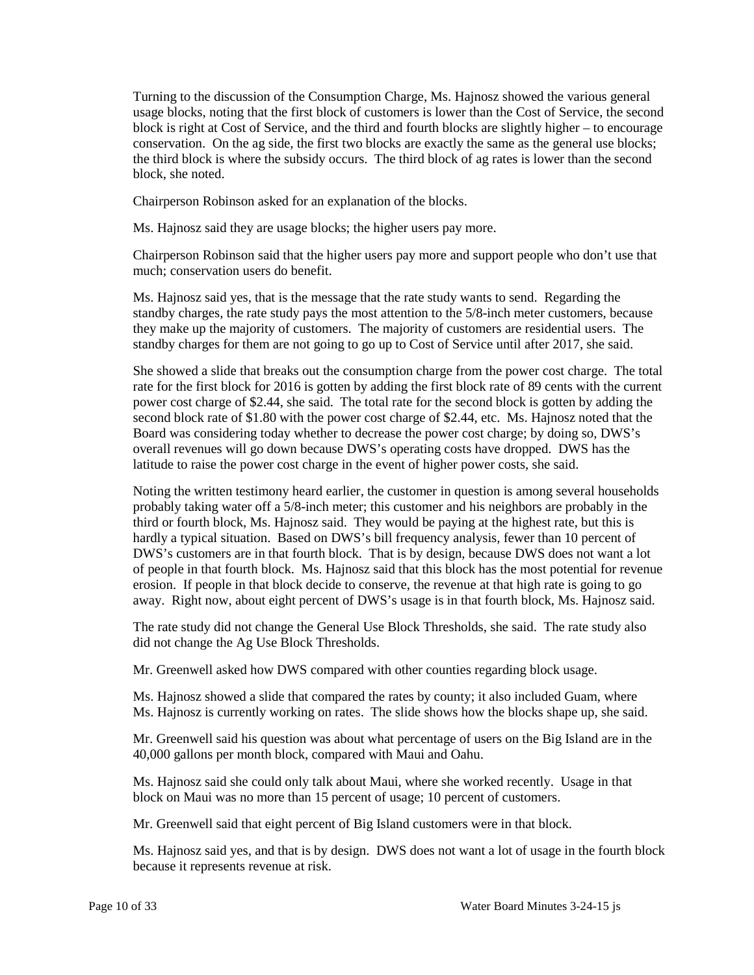usage blocks, noting that the first block of customers is lower than the Cost of Service, the second conservation. On the ag side, the first two blocks are exactly the same as the general use blocks; Turning to the discussion of the Consumption Charge, Ms. Hajnosz showed the various general block is right at Cost of Service, and the third and fourth blocks are slightly higher – to encourage the third block is where the subsidy occurs. The third block of ag rates is lower than the second block, she noted.

Chairperson Robinson asked for an explanation of the blocks.

Ms. Hajnosz said they are usage blocks; the higher users pay more.

Chairperson Robinson said that the higher users pay more and support people who don't use that much; conservation users do benefit.

 they make up the majority of customers. The majority of customers are residential users. The standby charges for them are not going to go up to Cost of Service until after 2017, she said. Ms. Hajnosz said yes, that is the message that the rate study wants to send. Regarding the standby charges, the rate study pays the most attention to the 5/8-inch meter customers, because

 She showed a slide that breaks out the consumption charge from the power cost charge. The total rate for the first block for 2016 is gotten by adding the first block rate of 89 cents with the current power cost charge of \$2.44, she said. The total rate for the second block is gotten by adding the second block rate of \$1.80 with the power cost charge of \$2.44, etc. Ms. Hajnosz noted that the Board was considering today whether to decrease the power cost charge; by doing so, DWS's overall revenues will go down because DWS's operating costs have dropped. DWS has the latitude to raise the power cost charge in the event of higher power costs, she said.

 Noting the written testimony heard earlier, the customer in question is among several households probably taking water off a 5/8-inch meter; this customer and his neighbors are probably in the hardly a typical situation. Based on DWS's bill frequency analysis, fewer than 10 percent of DWS's customers are in that fourth block. That is by design, because DWS does not want a lot of people in that fourth block. Ms. Hajnosz said that this block has the most potential for revenue erosion. If people in that block decide to conserve, the revenue at that high rate is going to go third or fourth block, Ms. Hajnosz said. They would be paying at the highest rate, but this is away. Right now, about eight percent of DWS's usage is in that fourth block, Ms. Hajnosz said.

 The rate study did not change the General Use Block Thresholds, she said. The rate study also did not change the Ag Use Block Thresholds.

Mr. Greenwell asked how DWS compared with other counties regarding block usage.

 Ms. Hajnosz is currently working on rates. The slide shows how the blocks shape up, she said. Ms. Hajnosz showed a slide that compared the rates by county; it also included Guam, where

 Mr. Greenwell said his question was about what percentage of users on the Big Island are in the 40,000 gallons per month block, compared with Maui and Oahu.

 block on Maui was no more than 15 percent of usage; 10 percent of customers. Ms. Hajnosz said she could only talk about Maui, where she worked recently. Usage in that

Mr. Greenwell said that eight percent of Big Island customers were in that block.

Ms. Hajnosz said yes, and that is by design. DWS does not want a lot of usage in the fourth block because it represents revenue at risk.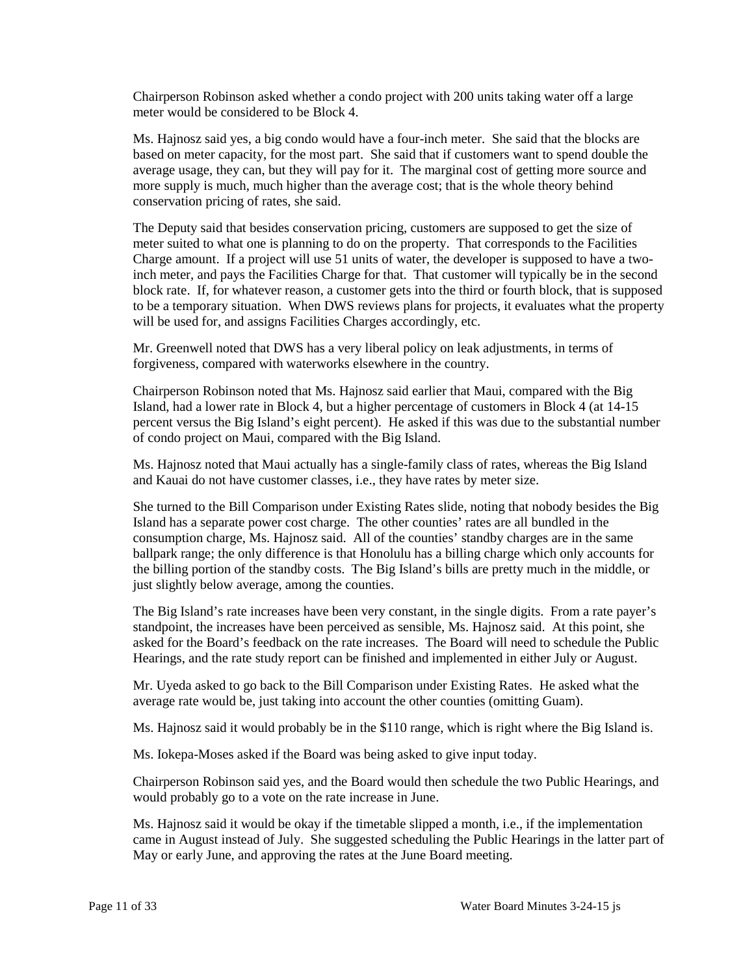Chairperson Robinson asked whether a condo project with 200 units taking water off a large meter would be considered to be Block 4.

 based on meter capacity, for the most part. She said that if customers want to spend double the average usage, they can, but they will pay for it. The marginal cost of getting more source and more supply is much, much higher than the average cost; that is the whole theory behind conservation pricing of rates, she said. Ms. Hajnosz said yes, a big condo would have a four-inch meter. She said that the blocks are

 inch meter, and pays the Facilities Charge for that. That customer will typically be in the second to be a temporary situation. When DWS reviews plans for projects, it evaluates what the property will be used for, and assigns Facilities Charges accordingly, etc. The Deputy said that besides conservation pricing, customers are supposed to get the size of meter suited to what one is planning to do on the property. That corresponds to the Facilities Charge amount. If a project will use 51 units of water, the developer is supposed to have a twoblock rate. If, for whatever reason, a customer gets into the third or fourth block, that is supposed

 Mr. Greenwell noted that DWS has a very liberal policy on leak adjustments, in terms of forgiveness, compared with waterworks elsewhere in the country.

 Island, had a lower rate in Block 4, but a higher percentage of customers in Block 4 (at 14-15 Chairperson Robinson noted that Ms. Hajnosz said earlier that Maui, compared with the Big percent versus the Big Island's eight percent). He asked if this was due to the substantial number of condo project on Maui, compared with the Big Island.

 and Kauai do not have customer classes, i.e., they have rates by meter size. Ms. Hajnosz noted that Maui actually has a single-family class of rates, whereas the Big Island

 She turned to the Bill Comparison under Existing Rates slide, noting that nobody besides the Big Island has a separate power cost charge. The other counties' rates are all bundled in the consumption charge, Ms. Hajnosz said. All of the counties' standby charges are in the same ballpark range; the only difference is that Honolulu has a billing charge which only accounts for the billing portion of the standby costs. The Big Island's bills are pretty much in the middle, or just slightly below average, among the counties.

 standpoint, the increases have been perceived as sensible, Ms. Hajnosz said. At this point, she asked for the Board's feedback on the rate increases. The Board will need to schedule the Public The Big Island's rate increases have been very constant, in the single digits. From a rate payer's Hearings, and the rate study report can be finished and implemented in either July or August.

 Mr. Uyeda asked to go back to the Bill Comparison under Existing Rates. He asked what the average rate would be, just taking into account the other counties (omitting Guam).

Ms. Hajnosz said it would probably be in the \$110 range, which is right where the Big Island is.

Ms. Iokepa-Moses asked if the Board was being asked to give input today.

 Chairperson Robinson said yes, and the Board would then schedule the two Public Hearings, and would probably go to a vote on the rate increase in June.

 Ms. Hajnosz said it would be okay if the timetable slipped a month, i.e., if the implementation came in August instead of July. She suggested scheduling the Public Hearings in the latter part of May or early June, and approving the rates at the June Board meeting.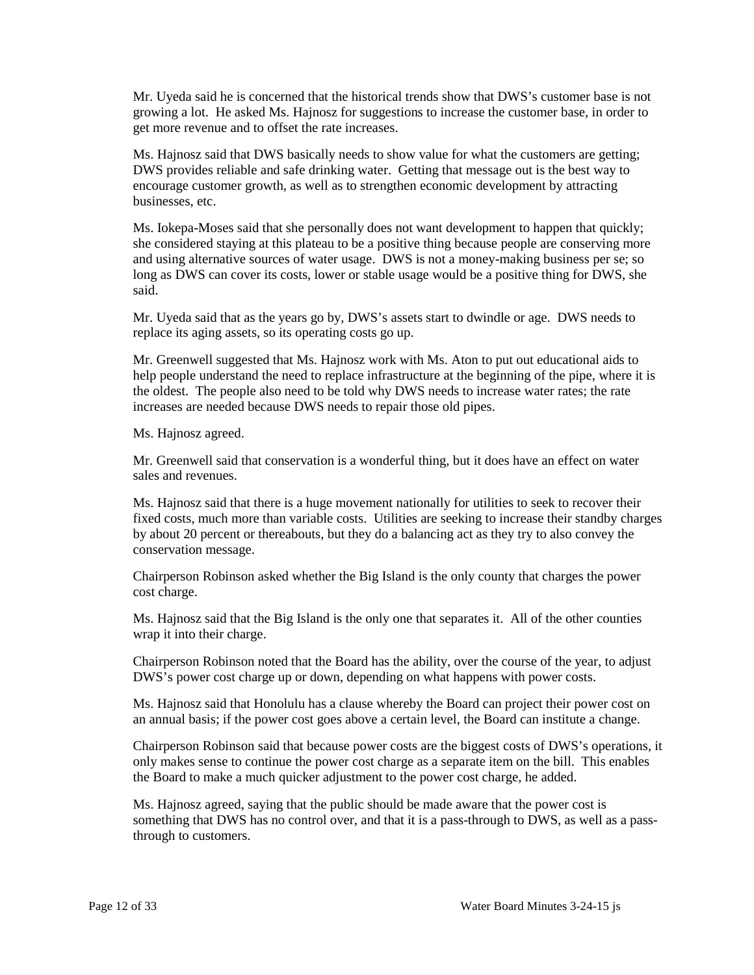Mr. Uyeda said he is concerned that the historical trends show that DWS's customer base is not growing a lot. He asked Ms. Hajnosz for suggestions to increase the customer base, in order to get more revenue and to offset the rate increases.

Ms. Hajnosz said that DWS basically needs to show value for what the customers are getting; DWS provides reliable and safe drinking water. Getting that message out is the best way to encourage customer growth, as well as to strengthen economic development by attracting businesses, etc.

 she considered staying at this plateau to be a positive thing because people are conserving more Ms. Iokepa-Moses said that she personally does not want development to happen that quickly; and using alternative sources of water usage. DWS is not a money-making business per se; so long as DWS can cover its costs, lower or stable usage would be a positive thing for DWS, she said.

Mr. Uyeda said that as the years go by, DWS's assets start to dwindle or age. DWS needs to replace its aging assets, so its operating costs go up.

 Mr. Greenwell suggested that Ms. Hajnosz work with Ms. Aton to put out educational aids to the oldest. The people also need to be told why DWS needs to increase water rates; the rate help people understand the need to replace infrastructure at the beginning of the pipe, where it is increases are needed because DWS needs to repair those old pipes.

Ms. Hajnosz agreed.

 Mr. Greenwell said that conservation is a wonderful thing, but it does have an effect on water sales and revenues.

 by about 20 percent or thereabouts, but they do a balancing act as they try to also convey the Ms. Hajnosz said that there is a huge movement nationally for utilities to seek to recover their fixed costs, much more than variable costs. Utilities are seeking to increase their standby charges conservation message.

 Chairperson Robinson asked whether the Big Island is the only county that charges the power cost charge.

 Ms. Hajnosz said that the Big Island is the only one that separates it. All of the other counties wrap it into their charge.

Chairperson Robinson noted that the Board has the ability, over the course of the year, to adjust DWS's power cost charge up or down, depending on what happens with power costs.

Ms. Hajnosz said that Honolulu has a clause whereby the Board can project their power cost on an annual basis; if the power cost goes above a certain level, the Board can institute a change.

 Chairperson Robinson said that because power costs are the biggest costs of DWS's operations, it the Board to make a much quicker adjustment to the power cost charge, he added. only makes sense to continue the power cost charge as a separate item on the bill. This enables

 Ms. Hajnosz agreed, saying that the public should be made aware that the power cost is something that DWS has no control over, and that it is a pass-through to DWS, as well as a passthrough to customers.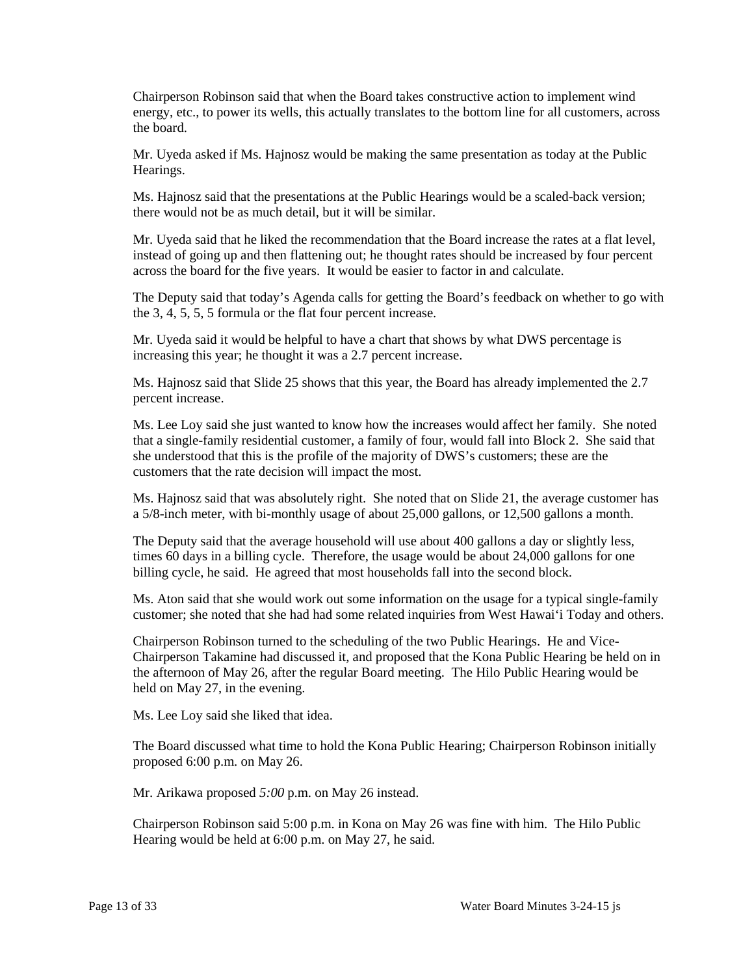Chairperson Robinson said that when the Board takes constructive action to implement wind energy, etc., to power its wells, this actually translates to the bottom line for all customers, across the board.

Mr. Uyeda asked if Ms. Hajnosz would be making the same presentation as today at the Public Hearings.

Ms. Hajnosz said that the presentations at the Public Hearings would be a scaled-back version; there would not be as much detail, but it will be similar.

 Mr. Uyeda said that he liked the recommendation that the Board increase the rates at a flat level, instead of going up and then flattening out; he thought rates should be increased by four percent across the board for the five years. It would be easier to factor in and calculate.

 the 3, 4, 5, 5, 5 formula or the flat four percent increase. The Deputy said that today's Agenda calls for getting the Board's feedback on whether to go with

Mr. Uyeda said it would be helpful to have a chart that shows by what DWS percentage is increasing this year; he thought it was a 2.7 percent increase.

 Ms. Hajnosz said that Slide 25 shows that this year, the Board has already implemented the 2.7 percent increase.

 Ms. Lee Loy said she just wanted to know how the increases would affect her family. She noted that a single-family residential customer, a family of four, would fall into Block 2. She said that customers that the rate decision will impact the most. she understood that this is the profile of the majority of DWS's customers; these are the

Ms. Hajnosz said that was absolutely right. She noted that on Slide 21, the average customer has a 5/8-inch meter, with bi-monthly usage of about 25,000 gallons, or 12,500 gallons a month.

 times 60 days in a billing cycle. Therefore, the usage would be about 24,000 gallons for one The Deputy said that the average household will use about 400 gallons a day or slightly less, billing cycle, he said. He agreed that most households fall into the second block.

Ms. Aton said that she would work out some information on the usage for a typical single-family customer; she noted that she had had some related inquiries from West Hawai'i Today and others.

 Chairperson Robinson turned to the scheduling of the two Public Hearings. He and Vice- Chairperson Takamine had discussed it, and proposed that the Kona Public Hearing be held on in the afternoon of May 26, after the regular Board meeting. The Hilo Public Hearing would be held on May 27, in the evening.

Ms. Lee Loy said she liked that idea.

The Board discussed what time to hold the Kona Public Hearing; Chairperson Robinson initially proposed 6:00 p.m. on May 26.

Mr. Arikawa proposed *5:00* p.m. on May 26 instead.

 Chairperson Robinson said 5:00 p.m. in Kona on May 26 was fine with him. The Hilo Public Hearing would be held at 6:00 p.m. on May 27, he said.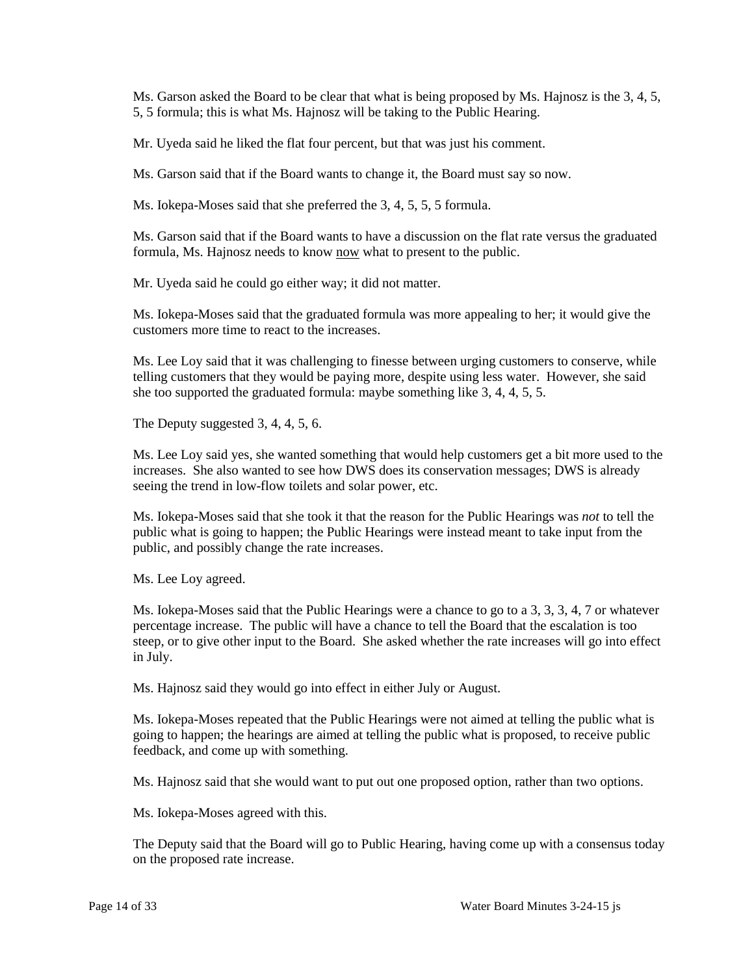5, 5 formula; this is what Ms. Hajnosz will be taking to the Public Hearing. Ms. Garson asked the Board to be clear that what is being proposed by Ms. Hajnosz is the 3, 4, 5,

Mr. Uyeda said he liked the flat four percent, but that was just his comment.

Ms. Garson said that if the Board wants to change it, the Board must say so now.

Ms. Iokepa-Moses said that she preferred the 3, 4, 5, 5, 5 formula.

 Ms. Garson said that if the Board wants to have a discussion on the flat rate versus the graduated formula, Ms. Hajnosz needs to know now what to present to the public.

Mr. Uyeda said he could go either way; it did not matter.

Ms. Iokepa-Moses said that the graduated formula was more appealing to her; it would give the customers more time to react to the increases.

 Ms. Lee Loy said that it was challenging to finesse between urging customers to conserve, while she too supported the graduated formula: maybe something like 3, 4, 4, 5, 5. telling customers that they would be paying more, despite using less water. However, she said

The Deputy suggested 3, 4, 4, 5, 6.

 Ms. Lee Loy said yes, she wanted something that would help customers get a bit more used to the increases. She also wanted to see how DWS does its conservation messages; DWS is already seeing the trend in low-flow toilets and solar power, etc.

Ms. Iokepa-Moses said that she took it that the reason for the Public Hearings was *not* to tell the public what is going to happen; the Public Hearings were instead meant to take input from the public, and possibly change the rate increases.

Ms. Lee Loy agreed.

 percentage increase. The public will have a chance to tell the Board that the escalation is too steep, or to give other input to the Board. She asked whether the rate increases will go into effect Ms. Iokepa-Moses said that the Public Hearings were a chance to go to a 3, 3, 3, 4, 7 or whatever in July.

Ms. Hajnosz said they would go into effect in either July or August.

Ms. Iokepa-Moses repeated that the Public Hearings were not aimed at telling the public what is going to happen; the hearings are aimed at telling the public what is proposed, to receive public feedback, and come up with something.

Ms. Hajnosz said that she would want to put out one proposed option, rather than two options.

Ms. Iokepa-Moses agreed with this.

 The Deputy said that the Board will go to Public Hearing, having come up with a consensus today on the proposed rate increase.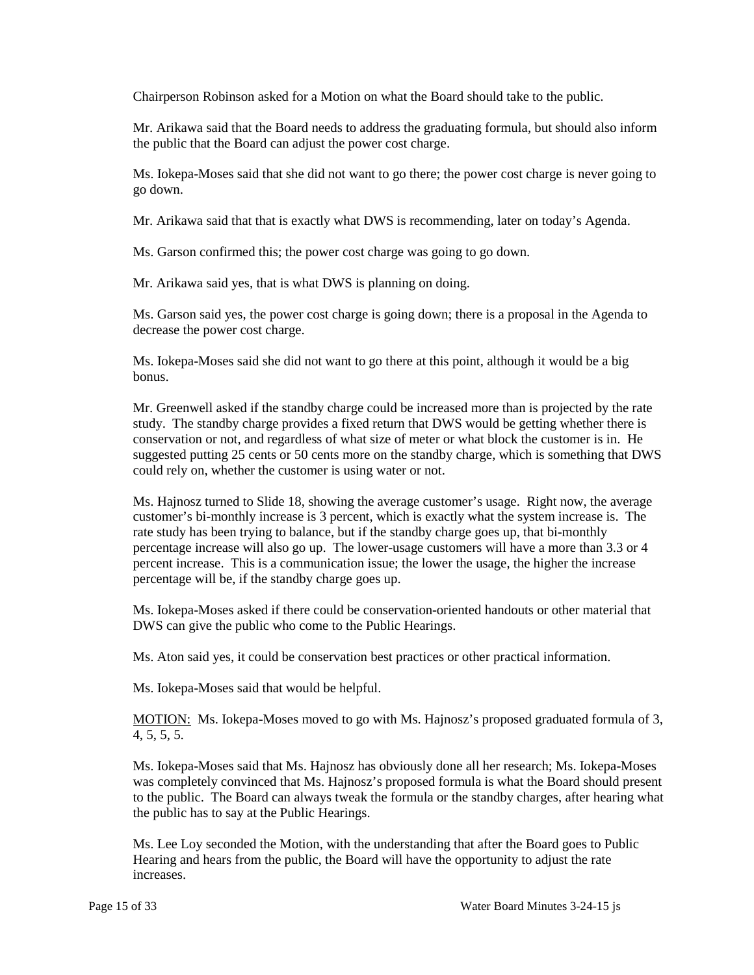Chairperson Robinson asked for a Motion on what the Board should take to the public.

 the public that the Board can adjust the power cost charge. Mr. Arikawa said that the Board needs to address the graduating formula, but should also inform

Ms. Iokepa-Moses said that she did not want to go there; the power cost charge is never going to go down.

Mr. Arikawa said that that is exactly what DWS is recommending, later on today's Agenda.

Ms. Garson confirmed this; the power cost charge was going to go down.

Mr. Arikawa said yes, that is what DWS is planning on doing.

 Ms. Garson said yes, the power cost charge is going down; there is a proposal in the Agenda to decrease the power cost charge.

Ms. Iokepa-Moses said she did not want to go there at this point, although it would be a big bonus.

 study. The standby charge provides a fixed return that DWS would be getting whether there is conservation or not, and regardless of what size of meter or what block the customer is in. He could rely on, whether the customer is using water or not. Mr. Greenwell asked if the standby charge could be increased more than is projected by the rate suggested putting 25 cents or 50 cents more on the standby charge, which is something that DWS

 percentage increase will also go up. The lower-usage customers will have a more than 3.3 or 4 percentage will be, if the standby charge goes up. Ms. Hajnosz turned to Slide 18, showing the average customer's usage. Right now, the average customer's bi-monthly increase is 3 percent, which is exactly what the system increase is. The rate study has been trying to balance, but if the standby charge goes up, that bi-monthly percent increase. This is a communication issue; the lower the usage, the higher the increase

 Ms. Iokepa-Moses asked if there could be conservation-oriented handouts or other material that DWS can give the public who come to the Public Hearings.

Ms. Aton said yes, it could be conservation best practices or other practical information.

Ms. Iokepa-Moses said that would be helpful.

MOTION: Ms. Iokepa-Moses moved to go with Ms. Hajnosz's proposed graduated formula of 3, 4, 5, 5, 5.

 Ms. Iokepa-Moses said that Ms. Hajnosz has obviously done all her research; Ms. Iokepa-Moses the public has to say at the Public Hearings. was completely convinced that Ms. Hajnosz's proposed formula is what the Board should present to the public. The Board can always tweak the formula or the standby charges, after hearing what

 Hearing and hears from the public, the Board will have the opportunity to adjust the rate Ms. Lee Loy seconded the Motion, with the understanding that after the Board goes to Public increases.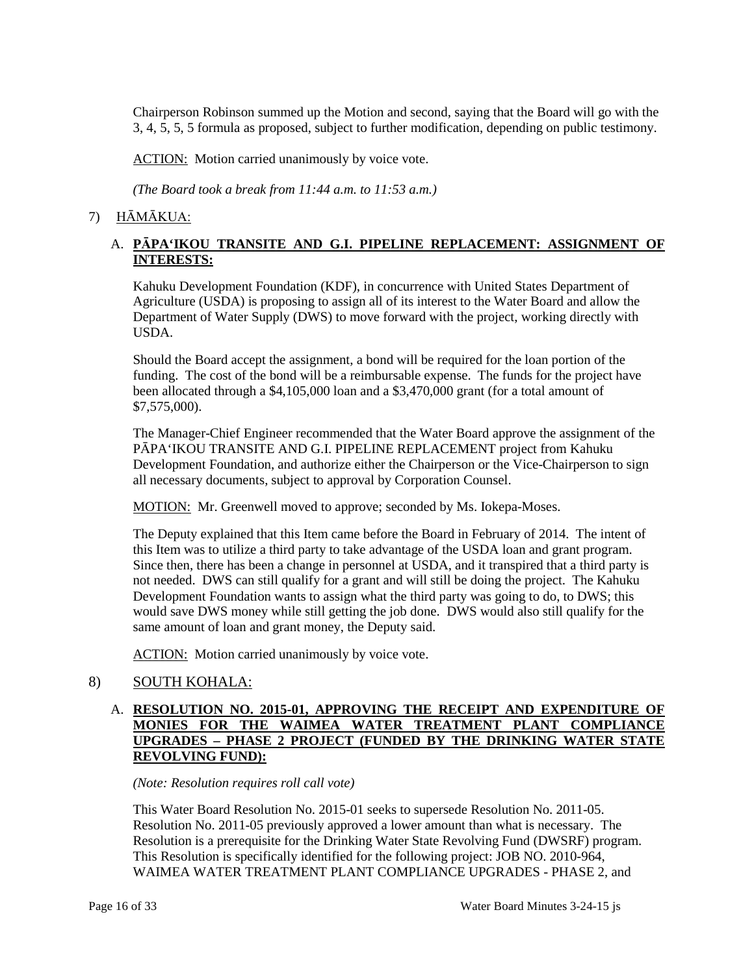Chairperson Robinson summed up the Motion and second, saying that the Board will go with the 3, 4, 5, 5, 5 formula as proposed, subject to further modification, depending on public testimony.

ACTION: Motion carried unanimously by voice vote.

*(The Board took a break from 11:44 a.m. to 11:53 a.m.)* 

### 7) HĀMĀKUA:

### A. **PĀPA'IKOU TRANSITE AND G.I. PIPELINE REPLACEMENT: ASSIGNMENT OF INTERESTS:**

Kahuku Development Foundation (KDF), in concurrence with United States Department of Agriculture (USDA) is proposing to assign all of its interest to the Water Board and allow the Department of Water Supply (DWS) to move forward with the project, working directly with USDA.

 Should the Board accept the assignment, a bond will be required for the loan portion of the funding. The cost of the bond will be a reimbursable expense. The funds for the project have been allocated through a \$4,105,000 loan and a \$3,470,000 grant (for a total amount of \$7,575,000).

The Manager-Chief Engineer recommended that the Water Board approve the assignment of the PĀPA'IKOU TRANSITE AND G.I. PIPELINE REPLACEMENT project from Kahuku Development Foundation, and authorize either the Chairperson or the Vice-Chairperson to sign all necessary documents, subject to approval by Corporation Counsel.

MOTION: Mr. Greenwell moved to approve; seconded by Ms. Iokepa-Moses.

 this Item was to utilize a third party to take advantage of the USDA loan and grant program. Development Foundation wants to assign what the third party was going to do, to DWS; this would save DWS money while still getting the job done. DWS would also still qualify for the The Deputy explained that this Item came before the Board in February of 2014. The intent of Since then, there has been a change in personnel at USDA, and it transpired that a third party is not needed. DWS can still qualify for a grant and will still be doing the project. The Kahuku same amount of loan and grant money, the Deputy said.

ACTION: Motion carried unanimously by voice vote.

# 8) SOUTH KOHALA:

### A. **RESOLUTION NO. 2015-01, APPROVING THE RECEIPT AND EXPENDITURE OF MONIES FOR THE WAIMEA WATER TREATMENT PLANT COMPLIANCE UPGRADES – PHASE 2 PROJECT (FUNDED BY THE DRINKING WATER STATE REVOLVING FUND):**

*(Note: Resolution requires roll call vote)* 

 Resolution is a prerequisite for the Drinking Water State Revolving Fund (DWSRF) program. This Resolution is specifically identified for the following project: JOB NO. 2010-964, This Water Board Resolution No. 2015-01 seeks to supersede Resolution No. 2011-05. Resolution No. 2011-05 previously approved a lower amount than what is necessary. The WAIMEA WATER TREATMENT PLANT COMPLIANCE UPGRADES - PHASE 2, and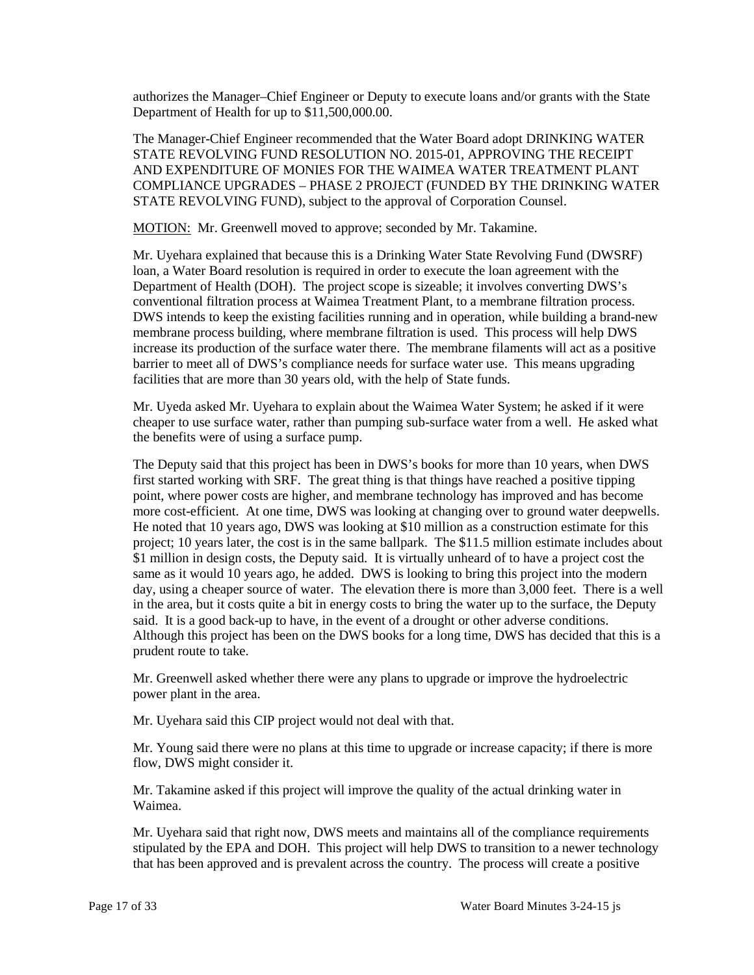authorizes the Manager–Chief Engineer or Deputy to execute loans and/or grants with the State Department of Health for up to \$11,500,000.00.

 The Manager-Chief Engineer recommended that the Water Board adopt DRINKING WATER STATE REVOLVING FUND RESOLUTION NO. 2015-01, APPROVING THE RECEIPT AND EXPENDITURE OF MONIES FOR THE WAIMEA WATER TREATMENT PLANT COMPLIANCE UPGRADES – PHASE 2 PROJECT (FUNDED BY THE DRINKING WATER STATE REVOLVING FUND), subject to the approval of Corporation Counsel.

MOTION: Mr. Greenwell moved to approve; seconded by Mr. Takamine.

 loan, a Water Board resolution is required in order to execute the loan agreement with the Department of Health (DOH). The project scope is sizeable; it involves converting DWS's conventional filtration process at Waimea Treatment Plant, to a membrane filtration process. membrane process building, where membrane filtration is used. This process will help DWS increase its production of the surface water there. The membrane filaments will act as a positive barrier to meet all of DWS's compliance needs for surface water use. This means upgrading facilities that are more than 30 years old, with the help of State funds. Mr. Uyehara explained that because this is a Drinking Water State Revolving Fund (DWSRF) DWS intends to keep the existing facilities running and in operation, while building a brand-new

 cheaper to use surface water, rather than pumping sub-surface water from a well. He asked what Mr. Uyeda asked Mr. Uyehara to explain about the Waimea Water System; he asked if it were the benefits were of using a surface pump.

 first started working with SRF. The great thing is that things have reached a positive tipping more cost-efficient. At one time, DWS was looking at changing over to ground water deepwells. He noted that 10 years ago, DWS was looking at \$10 million as a construction estimate for this project; 10 years later, the cost is in the same ballpark. The \$11.5 million estimate includes about day, using a cheaper source of water. The elevation there is more than 3,000 feet. There is a well in the area, but it costs quite a bit in energy costs to bring the water up to the surface, the Deputy said. It is a good back-up to have, in the event of a drought or other adverse conditions. The Deputy said that this project has been in DWS's books for more than 10 years, when DWS point, where power costs are higher, and membrane technology has improved and has become \$1 million in design costs, the Deputy said. It is virtually unheard of to have a project cost the same as it would 10 years ago, he added. DWS is looking to bring this project into the modern Although this project has been on the DWS books for a long time, DWS has decided that this is a prudent route to take.

Mr. Greenwell asked whether there were any plans to upgrade or improve the hydroelectric power plant in the area.

Mr. Uyehara said this CIP project would not deal with that.

 Mr. Young said there were no plans at this time to upgrade or increase capacity; if there is more flow, DWS might consider it.

 Mr. Takamine asked if this project will improve the quality of the actual drinking water in Waimea.

 Mr. Uyehara said that right now, DWS meets and maintains all of the compliance requirements stipulated by the EPA and DOH. This project will help DWS to transition to a newer technology that has been approved and is prevalent across the country. The process will create a positive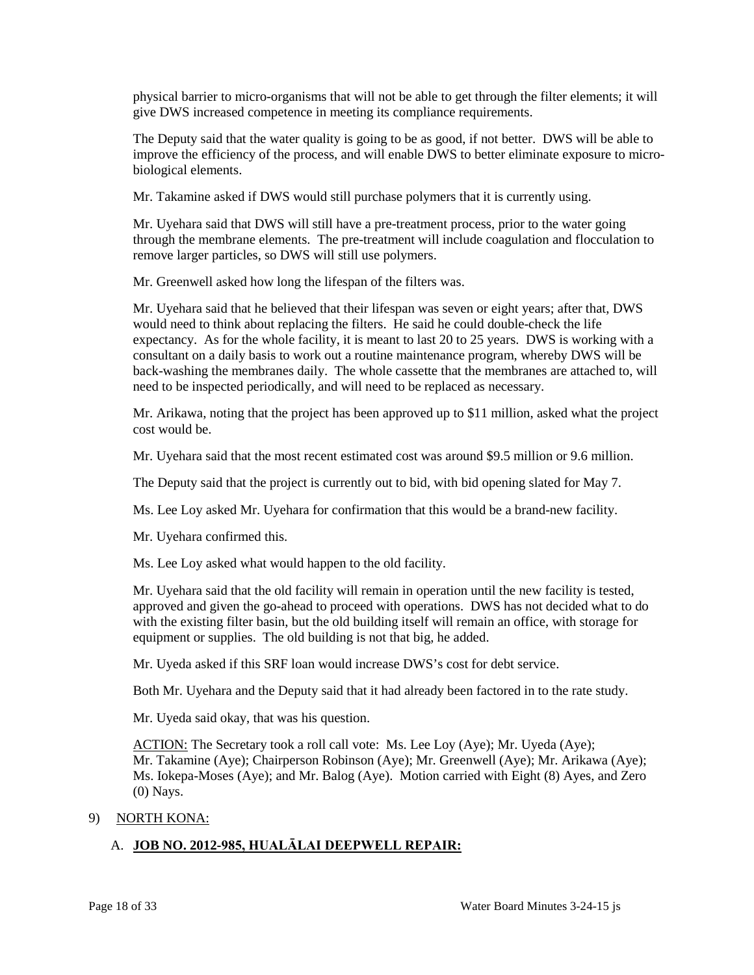physical barrier to micro-organisms that will not be able to get through the filter elements; it will give DWS increased competence in meeting its compliance requirements.

 The Deputy said that the water quality is going to be as good, if not better. DWS will be able to improve the efficiency of the process, and will enable DWS to better eliminate exposure to microbiological elements.

Mr. Takamine asked if DWS would still purchase polymers that it is currently using.

 remove larger particles, so DWS will still use polymers. Mr. Uyehara said that DWS will still have a pre-treatment process, prior to the water going through the membrane elements. The pre-treatment will include coagulation and flocculation to

Mr. Greenwell asked how long the lifespan of the filters was.

 Mr. Uyehara said that he believed that their lifespan was seven or eight years; after that, DWS back-washing the membranes daily. The whole cassette that the membranes are attached to, will would need to think about replacing the filters. He said he could double-check the life expectancy. As for the whole facility, it is meant to last 20 to 25 years. DWS is working with a consultant on a daily basis to work out a routine maintenance program, whereby DWS will be need to be inspected periodically, and will need to be replaced as necessary.

 Mr. Arikawa, noting that the project has been approved up to \$11 million, asked what the project cost would be.

Mr. Uyehara said that the most recent estimated cost was around \$9.5 million or 9.6 million.

The Deputy said that the project is currently out to bid, with bid opening slated for May 7.

Ms. Lee Loy asked Mr. Uyehara for confirmation that this would be a brand-new facility.

Mr. Uyehara confirmed this.

Ms. Lee Loy asked what would happen to the old facility.

 with the existing filter basin, but the old building itself will remain an office, with storage for equipment or supplies. The old building is not that big, he added. Mr. Uyehara said that the old facility will remain in operation until the new facility is tested, approved and given the go-ahead to proceed with operations. DWS has not decided what to do

Mr. Uyeda asked if this SRF loan would increase DWS's cost for debt service.

Both Mr. Uyehara and the Deputy said that it had already been factored in to the rate study.

Mr. Uyeda said okay, that was his question.

ACTION: The Secretary took a roll call vote: Ms. Lee Loy (Aye); Mr. Uyeda (Aye); Mr. Takamine (Aye); Chairperson Robinson (Aye); Mr. Greenwell (Aye); Mr. Arikawa (Aye); Ms. Iokepa-Moses (Aye); and Mr. Balog (Aye). Motion carried with Eight (8) Ayes, and Zero (0) Nays.

#### 9) NORTH KONA:

# A. **JOB NO. 2012-985, HUALĀLAI DEEPWELL REPAIR:**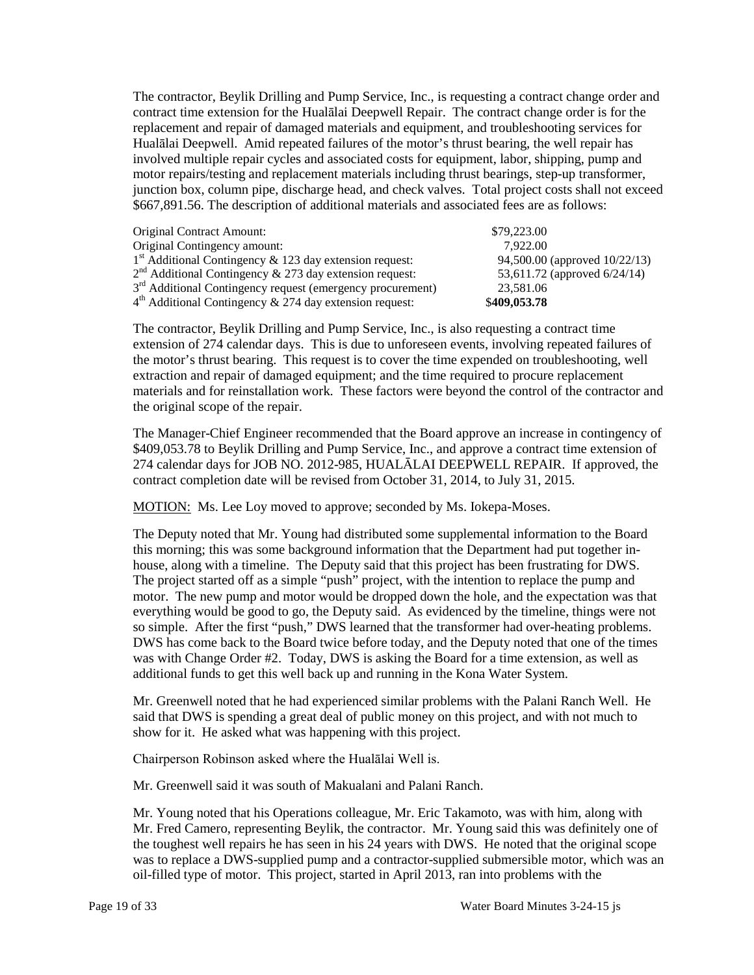The contractor, Beylik Drilling and Pump Service, Inc., is requesting a contract change order and contract time extension for the Hualālai Deepwell Repair. The contract change order is for the Hualālai Deepwell. Amid repeated failures of the motor's thrust bearing, the well repair has junction box, column pipe, discharge head, and check valves. Total project costs shall not exceed \$667,891.56. The description of additional materials and associated fees are as follows: replacement and repair of damaged materials and equipment, and troubleshooting services for involved multiple repair cycles and associated costs for equipment, labor, shipping, pump and motor repairs/testing and replacement materials including thrust bearings, step-up transformer,

| Original Contract Amount:                                              | \$79,223,00                   |
|------------------------------------------------------------------------|-------------------------------|
| Original Contingency amount:                                           | 7.922.00                      |
| $1st$ Additional Contingency & 123 day extension request:              | 94,500.00 (approved 10/22/13) |
| $2nd$ Additional Contingency & 273 day extension request:              | 53,611.72 (approved 6/24/14)  |
| 3 <sup>rd</sup> Additional Contingency request (emergency procurement) | 23,581.06                     |
| $4th$ Additional Contingency & 274 day extension request:              | \$409,053.78                  |

 the motor's thrust bearing. This request is to cover the time expended on troubleshooting, well extraction and repair of damaged equipment; and the time required to procure replacement materials and for reinstallation work. These factors were beyond the control of the contractor and the original scope of the repair. The contractor, Beylik Drilling and Pump Service, Inc., is also requesting a contract time extension of 274 calendar days. This is due to unforeseen events, involving repeated failures of

 The Manager-Chief Engineer recommended that the Board approve an increase in contingency of 274 calendar days for JOB NO. 2012-985, HUALĀLAI DEEPWELL REPAIR. If approved, the \$409,053.78 to Beylik Drilling and Pump Service, Inc., and approve a contract time extension of contract completion date will be revised from October 31, 2014, to July 31, 2015.

MOTION: Ms. Lee Loy moved to approve; seconded by Ms. Iokepa-Moses.

 motor. The new pump and motor would be dropped down the hole, and the expectation was that DWS has come back to the Board twice before today, and the Deputy noted that one of the times was with Change Order #2. Today, DWS is asking the Board for a time extension, as well as The Deputy noted that Mr. Young had distributed some supplemental information to the Board this morning; this was some background information that the Department had put together inhouse, along with a timeline. The Deputy said that this project has been frustrating for DWS. The project started off as a simple "push" project, with the intention to replace the pump and everything would be good to go, the Deputy said. As evidenced by the timeline, things were not so simple. After the first "push," DWS learned that the transformer had over-heating problems. additional funds to get this well back up and running in the Kona Water System.

 Mr. Greenwell noted that he had experienced similar problems with the Palani Ranch Well. He said that DWS is spending a great deal of public money on this project, and with not much to show for it. He asked what was happening with this project.

Chairperson Robinson asked where the Hualālai Well is.

Mr. Greenwell said it was south of Makualani and Palani Ranch.

Mr. Young noted that his Operations colleague, Mr. Eric Takamoto, was with him, along with Mr. Fred Camero, representing Beylik, the contractor. Mr. Young said this was definitely one of the toughest well repairs he has seen in his 24 years with DWS. He noted that the original scope was to replace a DWS-supplied pump and a contractor-supplied submersible motor, which was an oil-filled type of motor. This project, started in April 2013, ran into problems with the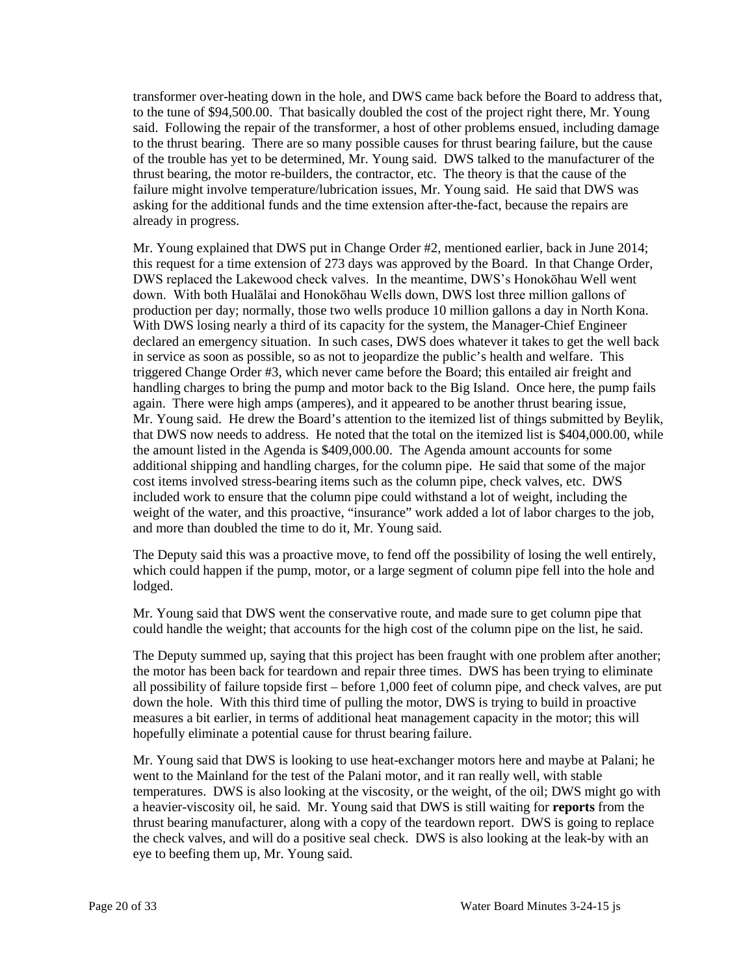transformer over-heating down in the hole, and DWS came back before the Board to address that, to the tune of \$94,500.00. That basically doubled the cost of the project right there, Mr. Young of the trouble has yet to be determined, Mr. Young said. DWS talked to the manufacturer of the thrust bearing, the motor re-builders, the contractor, etc. The theory is that the cause of the said. Following the repair of the transformer, a host of other problems ensued, including damage to the thrust bearing. There are so many possible causes for thrust bearing failure, but the cause failure might involve temperature/lubrication issues, Mr. Young said. He said that DWS was asking for the additional funds and the time extension after-the-fact, because the repairs are already in progress.

 Mr. Young explained that DWS put in Change Order #2, mentioned earlier, back in June 2014; With DWS losing nearly a third of its capacity for the system, the Manager-Chief Engineer declared an emergency situation. In such cases, DWS does whatever it takes to get the well back in service as soon as possible, so as not to jeopardize the public's health and welfare. This triggered Change Order #3, which never came before the Board; this entailed air freight and again. There were high amps (amperes), and it appeared to be another thrust bearing issue, Mr. Young said. He drew the Board's attention to the itemized list of things submitted by Beylik, that DWS now needs to address. He noted that the total on the itemized list is \$404,000.00, while the amount listed in the Agenda is \$409,000.00. The Agenda amount accounts for some included work to ensure that the column pipe could withstand a lot of weight, including the weight of the water, and this proactive, "insurance" work added a lot of labor charges to the job, this request for a time extension of 273 days was approved by the Board. In that Change Order, DWS replaced the Lakewood check valves. In the meantime, DWS's Honokōhau Well went down. With both Hualālai and Honokōhau Wells down, DWS lost three million gallons of production per day; normally, those two wells produce 10 million gallons a day in North Kona. handling charges to bring the pump and motor back to the Big Island. Once here, the pump fails additional shipping and handling charges, for the column pipe. He said that some of the major cost items involved stress-bearing items such as the column pipe, check valves, etc. DWS and more than doubled the time to do it, Mr. Young said.

 The Deputy said this was a proactive move, to fend off the possibility of losing the well entirely, which could happen if the pump, motor, or a large segment of column pipe fell into the hole and lodged.

 could handle the weight; that accounts for the high cost of the column pipe on the list, he said. Mr. Young said that DWS went the conservative route, and made sure to get column pipe that

 down the hole. With this third time of pulling the motor, DWS is trying to build in proactive The Deputy summed up, saying that this project has been fraught with one problem after another; the motor has been back for teardown and repair three times. DWS has been trying to eliminate all possibility of failure topside first – before 1,000 feet of column pipe, and check valves, are put measures a bit earlier, in terms of additional heat management capacity in the motor; this will hopefully eliminate a potential cause for thrust bearing failure.

 went to the Mainland for the test of the Palani motor, and it ran really well, with stable temperatures. DWS is also looking at the viscosity, or the weight, of the oil; DWS might go with a heavier-viscosity oil, he said. Mr. Young said that DWS is still waiting for **reports** from the Mr. Young said that DWS is looking to use heat-exchanger motors here and maybe at Palani; he thrust bearing manufacturer, along with a copy of the teardown report. DWS is going to replace the check valves, and will do a positive seal check. DWS is also looking at the leak-by with an eye to beefing them up, Mr. Young said.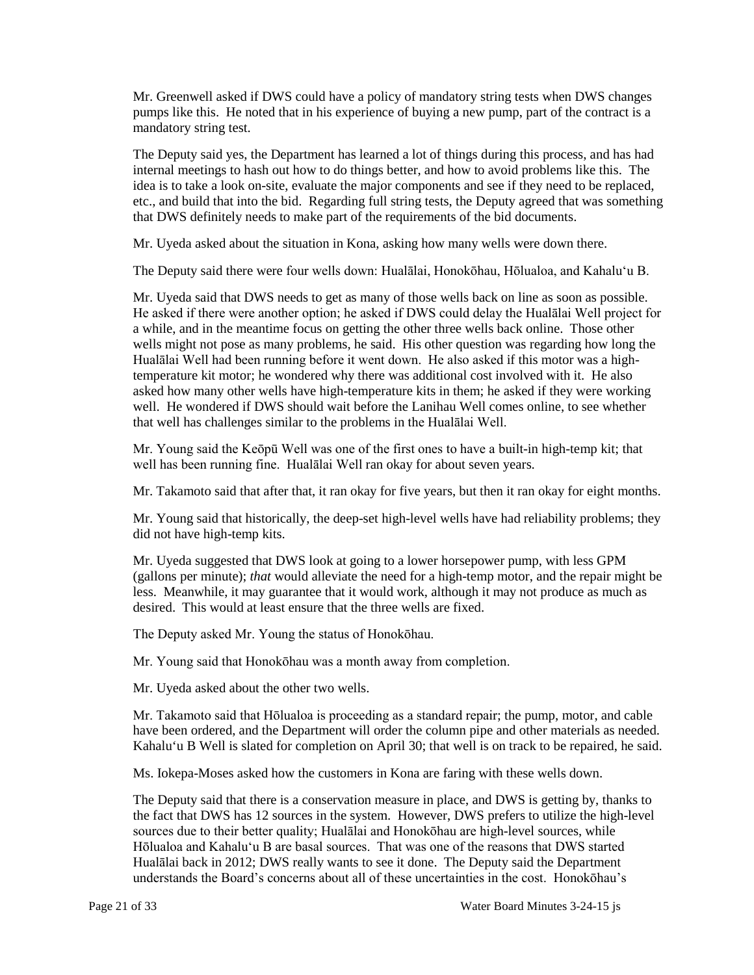Mr. Greenwell asked if DWS could have a policy of mandatory string tests when DWS changes pumps like this. He noted that in his experience of buying a new pump, part of the contract is a mandatory string test.

 etc., and build that into the bid. Regarding full string tests, the Deputy agreed that was something that DWS definitely needs to make part of the requirements of the bid documents. The Deputy said yes, the Department has learned a lot of things during this process, and has had internal meetings to hash out how to do things better, and how to avoid problems like this. The idea is to take a look on-site, evaluate the major components and see if they need to be replaced,

Mr. Uyeda asked about the situation in Kona, asking how many wells were down there.

The Deputy said there were four wells down: Hualālai, Honokōhau, Hōlualoa, and Kahalu'u B.

 Mr. Uyeda said that DWS needs to get as many of those wells back on line as soon as possible. He asked if there were another option; he asked if DWS could delay the Hualālai Well project for a while, and in the meantime focus on getting the other three wells back online. Those other Hualālai Well had been running before it went down. He also asked if this motor was a high- asked how many other wells have high-temperature kits in them; he asked if they were working well. He wondered if DWS should wait before the Lanihau Well comes online, to see whether wells might not pose as many problems, he said. His other question was regarding how long the temperature kit motor; he wondered why there was additional cost involved with it. He also that well has challenges similar to the problems in the Hualālai Well.

 well has been running fine. Hualālai Well ran okay for about seven years. Mr. Young said the Keōpū Well was one of the first ones to have a built-in high-temp kit; that

Mr. Takamoto said that after that, it ran okay for five years, but then it ran okay for eight months.

 Mr. Young said that historically, the deep-set high-level wells have had reliability problems; they did not have high-temp kits.

 less. Meanwhile, it may guarantee that it would work, although it may not produce as much as desired. This would at least ensure that the three wells are fixed. Mr. Uyeda suggested that DWS look at going to a lower horsepower pump, with less GPM (gallons per minute); *that* would alleviate the need for a high-temp motor, and the repair might be

The Deputy asked Mr. Young the status of Honokōhau.

Mr. Young said that Honokōhau was a month away from completion.

Mr. Uyeda asked about the other two wells.

Mr. Takamoto said that Hōlualoa is proceeding as a standard repair; the pump, motor, and cable have been ordered, and the Department will order the column pipe and other materials as needed. Kahalu'u B Well is slated for completion on April 30; that well is on track to be repaired, he said.

Ms. Iokepa-Moses asked how the customers in Kona are faring with these wells down.

 Hōlualoa and Kahalu'u B are basal sources. That was one of the reasons that DWS started Hualālai back in 2012; DWS really wants to see it done. The Deputy said the Department understands the Board's concerns about all of these uncertainties in the cost. Honokōhau's The Deputy said that there is a conservation measure in place, and DWS is getting by, thanks to the fact that DWS has 12 sources in the system. However, DWS prefers to utilize the high-level sources due to their better quality; Hualālai and Honokōhau are high-level sources, while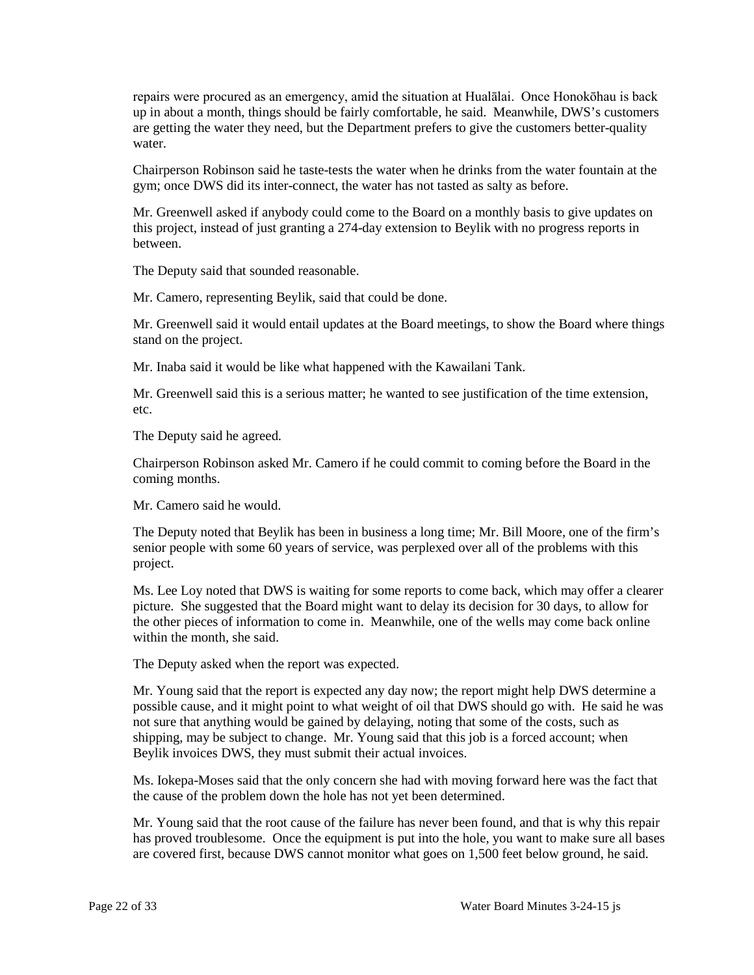repairs were procured as an emergency, amid the situation at Hualālai. Once Honokōhau is back up in about a month, things should be fairly comfortable, he said. Meanwhile, DWS's customers are getting the water they need, but the Department prefers to give the customers better-quality water.

 Chairperson Robinson said he taste-tests the water when he drinks from the water fountain at the gym; once DWS did its inter-connect, the water has not tasted as salty as before.

Mr. Greenwell asked if anybody could come to the Board on a monthly basis to give updates on this project, instead of just granting a 274-day extension to Beylik with no progress reports in between.

The Deputy said that sounded reasonable.

Mr. Camero, representing Beylik, said that could be done.

 Mr. Greenwell said it would entail updates at the Board meetings, to show the Board where things stand on the project.

Mr. Inaba said it would be like what happened with the Kawailani Tank.

 Mr. Greenwell said this is a serious matter; he wanted to see justification of the time extension, etc.

The Deputy said he agreed.

Chairperson Robinson asked Mr. Camero if he could commit to coming before the Board in the coming months.

Mr. Camero said he would.

 The Deputy noted that Beylik has been in business a long time; Mr. Bill Moore, one of the firm's senior people with some 60 years of service, was perplexed over all of the problems with this project.

Ms. Lee Loy noted that DWS is waiting for some reports to come back, which may offer a clearer picture. She suggested that the Board might want to delay its decision for 30 days, to allow for the other pieces of information to come in. Meanwhile, one of the wells may come back online within the month, she said.

The Deputy asked when the report was expected.

 shipping, may be subject to change. Mr. Young said that this job is a forced account; when Mr. Young said that the report is expected any day now; the report might help DWS determine a possible cause, and it might point to what weight of oil that DWS should go with. He said he was not sure that anything would be gained by delaying, noting that some of the costs, such as Beylik invoices DWS, they must submit their actual invoices.

 Ms. Iokepa-Moses said that the only concern she had with moving forward here was the fact that the cause of the problem down the hole has not yet been determined.

 are covered first, because DWS cannot monitor what goes on 1,500 feet below ground, he said. Mr. Young said that the root cause of the failure has never been found, and that is why this repair has proved troublesome. Once the equipment is put into the hole, you want to make sure all bases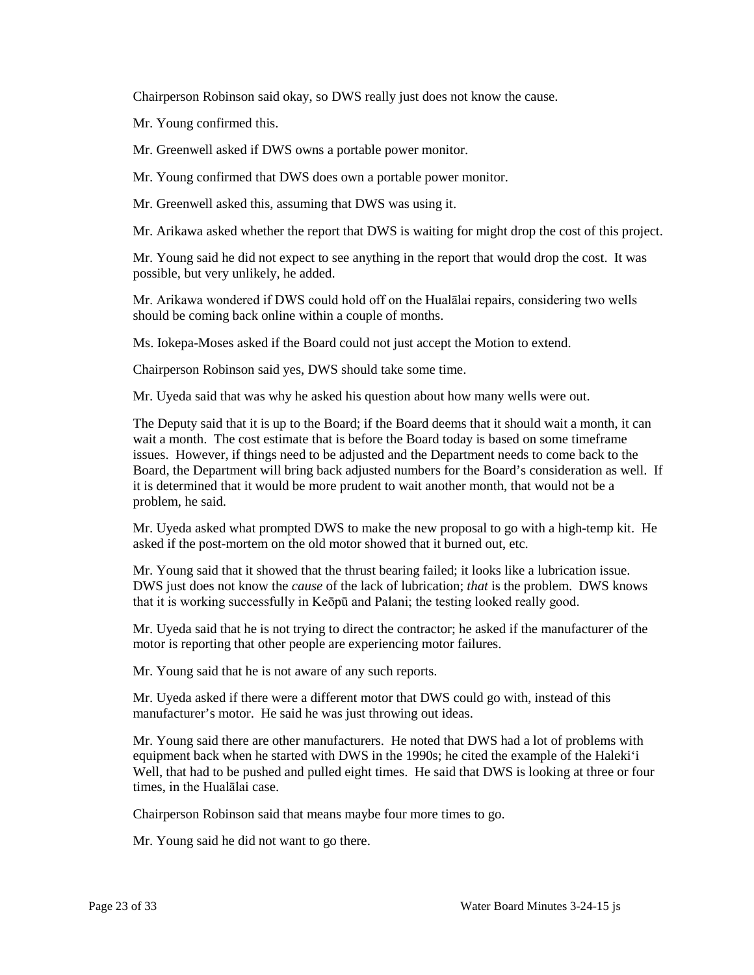Chairperson Robinson said okay, so DWS really just does not know the cause.

Mr. Young confirmed this.

Mr. Greenwell asked if DWS owns a portable power monitor.

Mr. Young confirmed that DWS does own a portable power monitor.

Mr. Greenwell asked this, assuming that DWS was using it.

Mr. Arikawa asked whether the report that DWS is waiting for might drop the cost of this project.

Mr. Young said he did not expect to see anything in the report that would drop the cost. It was possible, but very unlikely, he added.

 should be coming back online within a couple of months. Mr. Arikawa wondered if DWS could hold off on the Hualālai repairs, considering two wells

Ms. Iokepa-Moses asked if the Board could not just accept the Motion to extend.

Chairperson Robinson said yes, DWS should take some time.

Mr. Uyeda said that was why he asked his question about how many wells were out.

 wait a month. The cost estimate that is before the Board today is based on some timeframe issues. However, if things need to be adjusted and the Department needs to come back to the Board, the Department will bring back adjusted numbers for the Board's consideration as well. If it is determined that it would be more prudent to wait another month, that would not be a The Deputy said that it is up to the Board; if the Board deems that it should wait a month, it can problem, he said.

Mr. Uyeda asked what prompted DWS to make the new proposal to go with a high-temp kit. He asked if the post-mortem on the old motor showed that it burned out, etc.

 Mr. Young said that it showed that the thrust bearing failed; it looks like a lubrication issue. DWS just does not know the *cause* of the lack of lubrication; *that* is the problem. DWS knows that it is working successfully in Keōpū and Palani; the testing looked really good.

 Mr. Uyeda said that he is not trying to direct the contractor; he asked if the manufacturer of the motor is reporting that other people are experiencing motor failures.

Mr. Young said that he is not aware of any such reports.

 manufacturer's motor. He said he was just throwing out ideas. Mr. Uyeda asked if there were a different motor that DWS could go with, instead of this

 Mr. Young said there are other manufacturers. He noted that DWS had a lot of problems with equipment back when he started with DWS in the 1990s; he cited the example of the Haleki'i Well, that had to be pushed and pulled eight times. He said that DWS is looking at three or four times, in the Hualālai case.

Chairperson Robinson said that means maybe four more times to go.

Mr. Young said he did not want to go there.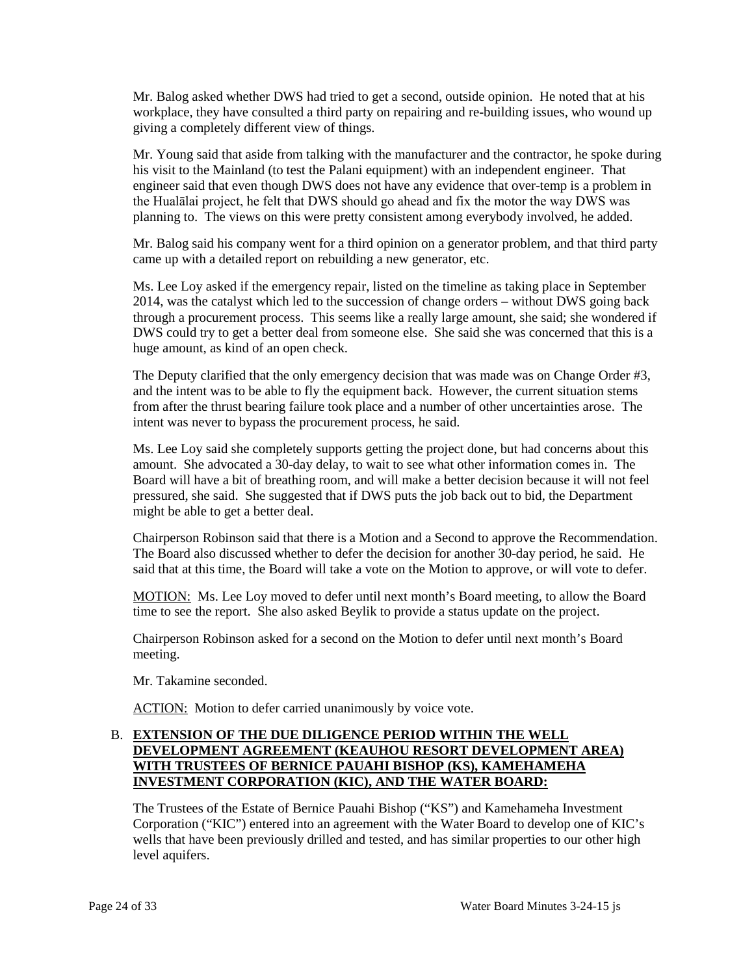Mr. Balog asked whether DWS had tried to get a second, outside opinion. He noted that at his workplace, they have consulted a third party on repairing and re-building issues, who wound up giving a completely different view of things.

 his visit to the Mainland (to test the Palani equipment) with an independent engineer. That the Hualālai project, he felt that DWS should go ahead and fix the motor the way DWS was Mr. Young said that aside from talking with the manufacturer and the contractor, he spoke during engineer said that even though DWS does not have any evidence that over-temp is a problem in planning to. The views on this were pretty consistent among everybody involved, he added.

Mr. Balog said his company went for a third opinion on a generator problem, and that third party came up with a detailed report on rebuilding a new generator, etc.

 2014, was the catalyst which led to the succession of change orders – without DWS going back through a procurement process. This seems like a really large amount, she said; she wondered if Ms. Lee Loy asked if the emergency repair, listed on the timeline as taking place in September DWS could try to get a better deal from someone else. She said she was concerned that this is a huge amount, as kind of an open check.

 The Deputy clarified that the only emergency decision that was made was on Change Order #3, and the intent was to be able to fly the equipment back. However, the current situation stems from after the thrust bearing failure took place and a number of other uncertainties arose. The intent was never to bypass the procurement process, he said.

 Ms. Lee Loy said she completely supports getting the project done, but had concerns about this amount. She advocated a 30-day delay, to wait to see what other information comes in. The Board will have a bit of breathing room, and will make a better decision because it will not feel pressured, she said. She suggested that if DWS puts the job back out to bid, the Department might be able to get a better deal.

 Chairperson Robinson said that there is a Motion and a Second to approve the Recommendation. The Board also discussed whether to defer the decision for another 30-day period, he said. He said that at this time, the Board will take a vote on the Motion to approve, or will vote to defer.

MOTION: Ms. Lee Loy moved to defer until next month's Board meeting, to allow the Board time to see the report. She also asked Beylik to provide a status update on the project.

Chairperson Robinson asked for a second on the Motion to defer until next month's Board meeting.

Mr. Takamine seconded.

ACTION: Motion to defer carried unanimously by voice vote.

### B. **EXTENSION OF THE DUE DILIGENCE PERIOD WITHIN THE WELL DEVELOPMENT AGREEMENT (KEAUHOU RESORT DEVELOPMENT AREA) WITH TRUSTEES OF BERNICE PAUAHI BISHOP (KS), KAMEHAMEHA INVESTMENT CORPORATION (KIC), AND THE WATER BOARD:**

 Corporation ("KIC") entered into an agreement with the Water Board to develop one of KIC's The Trustees of the Estate of Bernice Pauahi Bishop ("KS") and Kamehameha Investment wells that have been previously drilled and tested, and has similar properties to our other high level aquifers.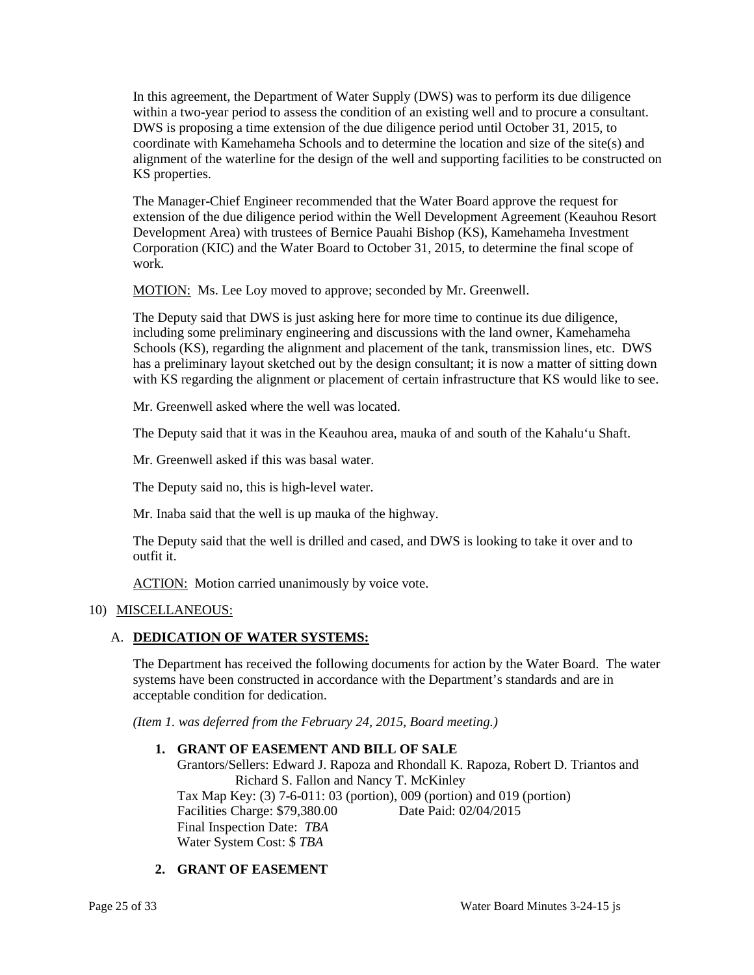within a two-year period to assess the condition of an existing well and to procure a consultant. coordinate with Kamehameha Schools and to determine the location and size of the site(s) and alignment of the waterline for the design of the well and supporting facilities to be constructed on In this agreement, the Department of Water Supply (DWS) was to perform its due diligence DWS is proposing a time extension of the due diligence period until October 31, 2015, to KS properties.

 The Manager-Chief Engineer recommended that the Water Board approve the request for Corporation (KIC) and the Water Board to October 31, 2015, to determine the final scope of extension of the due diligence period within the Well Development Agreement (Keauhou Resort Development Area) with trustees of Bernice Pauahi Bishop (KS), Kamehameha Investment work.

MOTION: Ms. Lee Loy moved to approve; seconded by Mr. Greenwell.

 The Deputy said that DWS is just asking here for more time to continue its due diligence, including some preliminary engineering and discussions with the land owner, Kamehameha Schools (KS), regarding the alignment and placement of the tank, transmission lines, etc. DWS has a preliminary layout sketched out by the design consultant; it is now a matter of sitting down with KS regarding the alignment or placement of certain infrastructure that KS would like to see.

Mr. Greenwell asked where the well was located.

The Deputy said that it was in the Keauhou area, mauka of and south of the Kahalu'u Shaft.

Mr. Greenwell asked if this was basal water.

The Deputy said no, this is high-level water.

Mr. Inaba said that the well is up mauka of the highway.

 The Deputy said that the well is drilled and cased, and DWS is looking to take it over and to outfit it.

ACTION: Motion carried unanimously by voice vote.

# 10) MISCELLANEOUS:

# A. **DEDICATION OF WATER SYSTEMS:**

 The Department has received the following documents for action by the Water Board. The water systems have been constructed in accordance with the Department's standards and are in acceptable condition for dedication.

*(Item 1. was deferred from the February 24, 2015, Board meeting.)* 

#### **1. GRANT OF EASEMENT AND BILL OF SALE**

 Final Inspection Date: *TBA*  Grantors/Sellers: Edward J. Rapoza and Rhondall K. Rapoza, Robert D. Triantos and Richard S. Fallon and Nancy T. McKinley Tax Map Key: (3) 7-6-011: 03 (portion), 009 (portion) and 019 (portion) Facilities Charge: \$79,380.00 Date Paid: 02/04/2015 Water System Cost: \$ *TBA* 

# **2. GRANT OF EASEMENT**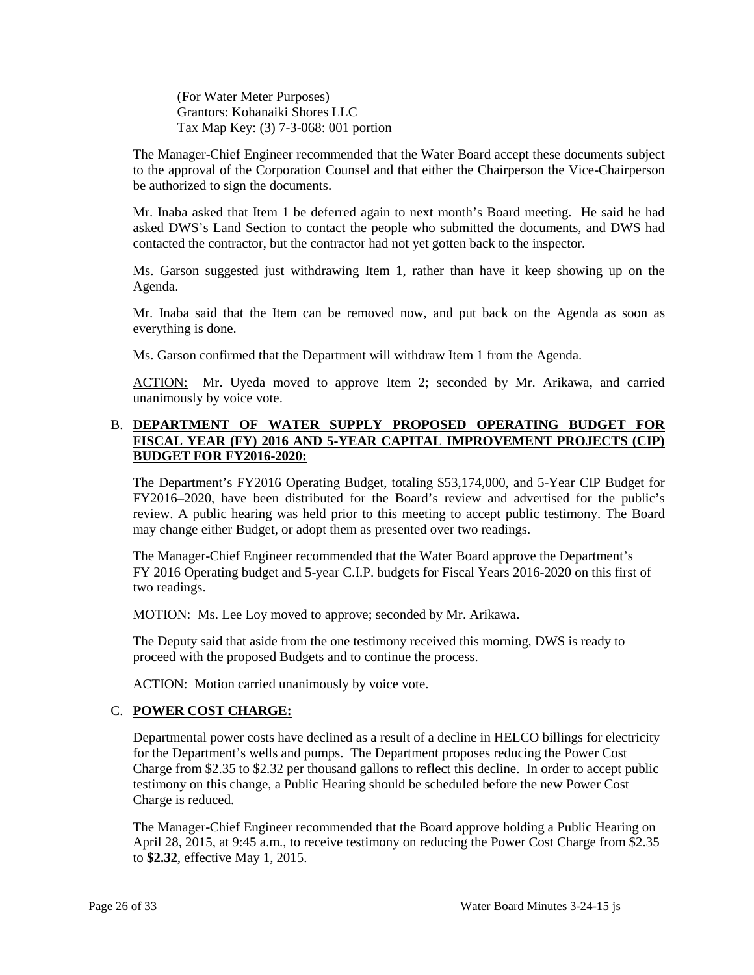(For Water Meter Purposes) Grantors: Kohanaiki Shores LLC Tax Map Key: (3) 7-3-068: 001 portion

 to the approval of the Corporation Counsel and that either the Chairperson the Vice-Chairperson The Manager-Chief Engineer recommended that the Water Board accept these documents subject be authorized to sign the documents.

 asked DWS's Land Section to contact the people who submitted the documents, and DWS had Mr. Inaba asked that Item 1 be deferred again to next month's Board meeting. He said he had contacted the contractor, but the contractor had not yet gotten back to the inspector.

 Ms. Garson suggested just withdrawing Item 1, rather than have it keep showing up on the Agenda.

Mr. Inaba said that the Item can be removed now, and put back on the Agenda as soon as everything is done.

Ms. Garson confirmed that the Department will withdraw Item 1 from the Agenda.

ACTION: Mr. Uyeda moved to approve Item 2; seconded by Mr. Arikawa, and carried unanimously by voice vote.

### B. **DEPARTMENT OF WATER SUPPLY PROPOSED OPERATING BUDGET FOR FISCAL YEAR (FY) 2016 AND 5-YEAR CAPITAL IMPROVEMENT PROJECTS (CIP) BUDGET FOR FY2016-2020:**

 FY2016–2020, have been distributed for the Board's review and advertised for the public's review. A public hearing was held prior to this meeting to accept public testimony. The Board may change either Budget, or adopt them as presented over two readings. The Department's FY2016 Operating Budget, totaling \$53,174,000, and 5-Year CIP Budget for

The Manager-Chief Engineer recommended that the Water Board approve the Department's FY 2016 Operating budget and 5-year C.I.P. budgets for Fiscal Years 2016-2020 on this first of two readings.

MOTION: Ms. Lee Loy moved to approve; seconded by Mr. Arikawa.

 proceed with the proposed Budgets and to continue the process. The Deputy said that aside from the one testimony received this morning, DWS is ready to

ACTION: Motion carried unanimously by voice vote.

# C. **POWER COST CHARGE:**

Departmental power costs have declined as a result of a decline in HELCO billings for electricity for the Department's wells and pumps. The Department proposes reducing the Power Cost Charge from \$2.35 to \$2.32 per thousand gallons to reflect this decline. In order to accept public testimony on this change, a Public Hearing should be scheduled before the new Power Cost Charge is reduced.

The Manager-Chief Engineer recommended that the Board approve holding a Public Hearing on April 28, 2015, at 9:45 a.m., to receive testimony on reducing the Power Cost Charge from \$2.35 to **\$2.32**, effective May 1, 2015.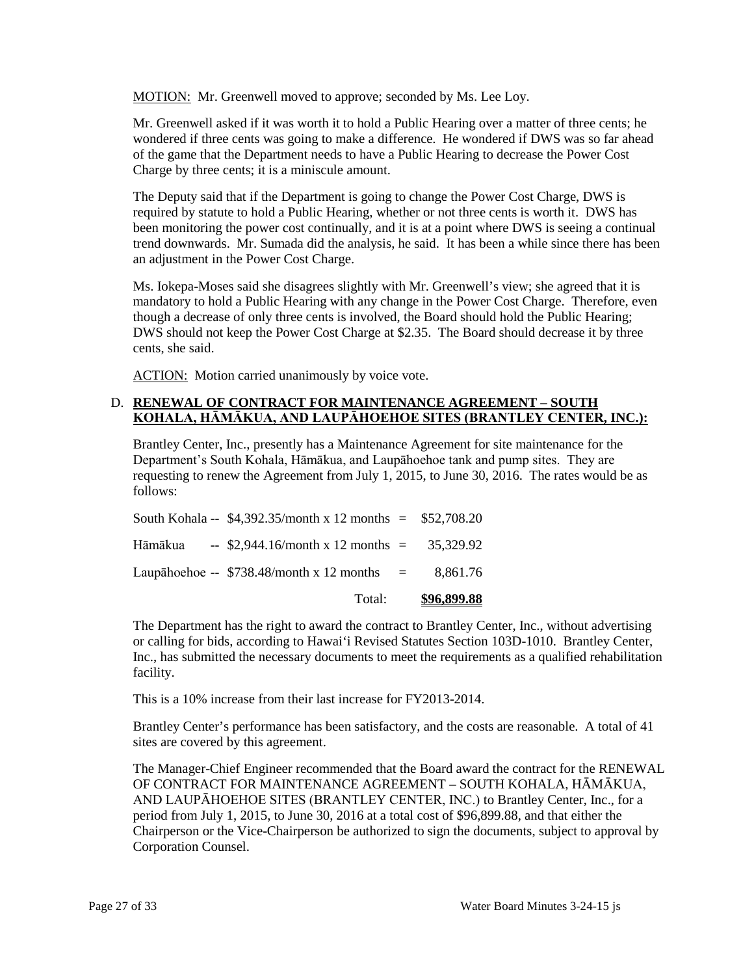MOTION: Mr. Greenwell moved to approve; seconded by Ms. Lee Loy.

 Mr. Greenwell asked if it was worth it to hold a Public Hearing over a matter of three cents; he wondered if three cents was going to make a difference. He wondered if DWS was so far ahead of the game that the Department needs to have a Public Hearing to decrease the Power Cost Charge by three cents; it is a miniscule amount.

 been monitoring the power cost continually, and it is at a point where DWS is seeing a continual The Deputy said that if the Department is going to change the Power Cost Charge, DWS is required by statute to hold a Public Hearing, whether or not three cents is worth it. DWS has trend downwards. Mr. Sumada did the analysis, he said. It has been a while since there has been an adjustment in the Power Cost Charge.

 Ms. Iokepa-Moses said she disagrees slightly with Mr. Greenwell's view; she agreed that it is though a decrease of only three cents is involved, the Board should hold the Public Hearing; mandatory to hold a Public Hearing with any change in the Power Cost Charge. Therefore, even DWS should not keep the Power Cost Charge at \$2.35. The Board should decrease it by three cents, she said.

ACTION: Motion carried unanimously by voice vote.

### **KOHALA, HĀMĀKUA, AND LAUPĀHOEHOE SITES (BRANTLEY CENTER, INC.):**  D. **RENEWAL OF CONTRACT FOR MAINTENANCE AGREEMENT – SOUTH**

Brantley Center, Inc., presently has a Maintenance Agreement for site maintenance for the Department's South Kohala, Hāmākua, and Laupāhoehoe tank and pump sites. They are requesting to renew the Agreement from July 1, 2015, to June 30, 2016. The rates would be as follows:

| Total:                                                     | <u>\$96,899.88</u> |
|------------------------------------------------------------|--------------------|
| Laupāhoehoe -- $$738.48/month x 12 months =$               | 8.861.76           |
| Hāmākua -- \$2,944.16/month x 12 months = $35,329.92$      |                    |
| South Kohala -- $$4,392.35/month x 12 months = $52,708.20$ |                    |

The Department has the right to award the contract to Brantley Center, Inc., without advertising or calling for bids, according to Hawai'i Revised Statutes Section 103D-1010. Brantley Center, Inc., has submitted the necessary documents to meet the requirements as a qualified rehabilitation facility.

This is a 10% increase from their last increase for FY2013-2014.

Brantley Center's performance has been satisfactory, and the costs are reasonable. A total of 41 sites are covered by this agreement.

 AND LAUPĀHOEHOE SITES (BRANTLEY CENTER, INC.) to Brantley Center, Inc., for a The Manager-Chief Engineer recommended that the Board award the contract for the RENEWAL OF CONTRACT FOR MAINTENANCE AGREEMENT – SOUTH KOHALA, HĀMĀKUA, period from July 1, 2015, to June 30, 2016 at a total cost of \$96,899.88, and that either the Chairperson or the Vice-Chairperson be authorized to sign the documents, subject to approval by Corporation Counsel.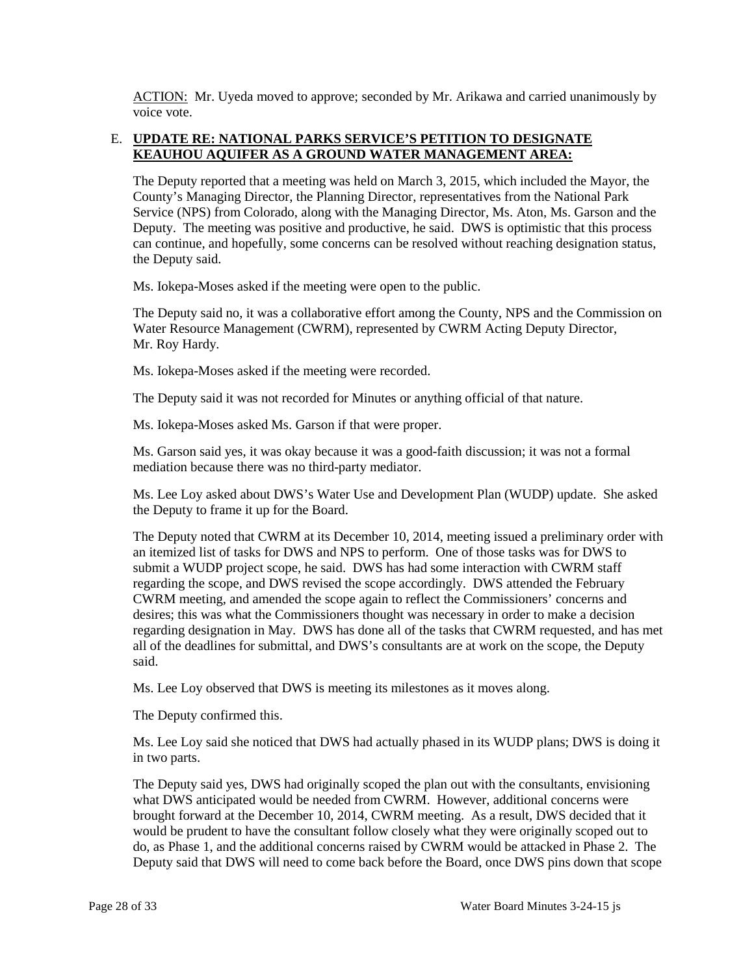ACTION: Mr. Uyeda moved to approve; seconded by Mr. Arikawa and carried unanimously by voice vote.

#### E. **UPDATE RE: NATIONAL PARKS SERVICE'S PETITION TO DESIGNATE KEAUHOU AQUIFER AS A GROUND WATER MANAGEMENT AREA:**

The Deputy reported that a meeting was held on March 3, 2015, which included the Mayor, the County's Managing Director, the Planning Director, representatives from the National Park Service (NPS) from Colorado, along with the Managing Director, Ms. Aton, Ms. Garson and the Deputy. The meeting was positive and productive, he said. DWS is optimistic that this process can continue, and hopefully, some concerns can be resolved without reaching designation status, the Deputy said.

Ms. Iokepa-Moses asked if the meeting were open to the public.

 Mr. Roy Hardy. The Deputy said no, it was a collaborative effort among the County, NPS and the Commission on Water Resource Management (CWRM), represented by CWRM Acting Deputy Director,

Ms. Iokepa-Moses asked if the meeting were recorded.

The Deputy said it was not recorded for Minutes or anything official of that nature.

Ms. Iokepa-Moses asked Ms. Garson if that were proper.

Ms. Garson said yes, it was okay because it was a good-faith discussion; it was not a formal mediation because there was no third-party mediator.

Ms. Lee Loy asked about DWS's Water Use and Development Plan (WUDP) update. She asked the Deputy to frame it up for the Board.

 regarding designation in May. DWS has done all of the tasks that CWRM requested, and has met all of the deadlines for submittal, and DWS's consultants are at work on the scope, the Deputy The Deputy noted that CWRM at its December 10, 2014, meeting issued a preliminary order with an itemized list of tasks for DWS and NPS to perform. One of those tasks was for DWS to submit a WUDP project scope, he said. DWS has had some interaction with CWRM staff regarding the scope, and DWS revised the scope accordingly. DWS attended the February CWRM meeting, and amended the scope again to reflect the Commissioners' concerns and desires; this was what the Commissioners thought was necessary in order to make a decision said.

Ms. Lee Loy observed that DWS is meeting its milestones as it moves along.

The Deputy confirmed this.

Ms. Lee Loy said she noticed that DWS had actually phased in its WUDP plans; DWS is doing it in two parts.

 brought forward at the December 10, 2014, CWRM meeting. As a result, DWS decided that it would be prudent to have the consultant follow closely what they were originally scoped out to do, as Phase 1, and the additional concerns raised by CWRM would be attacked in Phase 2. The The Deputy said yes, DWS had originally scoped the plan out with the consultants, envisioning what DWS anticipated would be needed from CWRM. However, additional concerns were Deputy said that DWS will need to come back before the Board, once DWS pins down that scope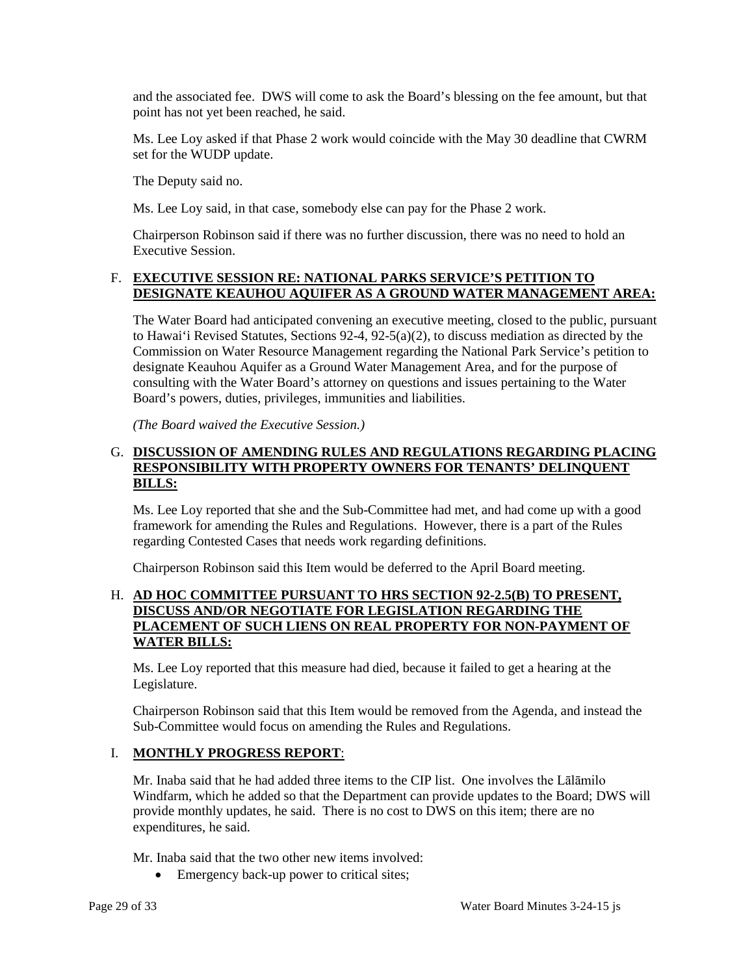and the associated fee. DWS will come to ask the Board's blessing on the fee amount, but that point has not yet been reached, he said.

 Ms. Lee Loy asked if that Phase 2 work would coincide with the May 30 deadline that CWRM set for the WUDP update.

The Deputy said no.

Ms. Lee Loy said, in that case, somebody else can pay for the Phase 2 work.

 Chairperson Robinson said if there was no further discussion, there was no need to hold an Executive Session.

### F. **EXECUTIVE SESSION RE: NATIONAL PARKS SERVICE'S PETITION TO DESIGNATE KEAUHOU AQUIFER AS A GROUND WATER MANAGEMENT AREA:**

 Commission on Water Resource Management regarding the National Park Service's petition to designate Keauhou Aquifer as a Ground Water Management Area, and for the purpose of consulting with the Water Board's attorney on questions and issues pertaining to the Water The Water Board had anticipated convening an executive meeting, closed to the public, pursuant to Hawai'i Revised Statutes, Sections 92-4, 92-5(a)(2), to discuss mediation as directed by the Board's powers, duties, privileges, immunities and liabilities.

*(The Board waived the Executive Session.)* 

### G. **DISCUSSION OF AMENDING RULES AND REGULATIONS REGARDING PLACING RESPONSIBILITY WITH PROPERTY OWNERS FOR TENANTS' DELINQUENT BILLS:**

 framework for amending the Rules and Regulations. However, there is a part of the Rules Ms. Lee Loy reported that she and the Sub-Committee had met, and had come up with a good regarding Contested Cases that needs work regarding definitions.

Chairperson Robinson said this Item would be deferred to the April Board meeting.

### H. **AD HOC COMMITTEE PURSUANT TO HRS SECTION 92-2.5(B) TO PRESENT, DISCUSS AND/OR NEGOTIATE FOR LEGISLATION REGARDING THE PLACEMENT OF SUCH LIENS ON REAL PROPERTY FOR NON-PAYMENT OF WATER BILLS:**

 Ms. Lee Loy reported that this measure had died, because it failed to get a hearing at the Legislature.

Chairperson Robinson said that this Item would be removed from the Agenda, and instead the Sub-Committee would focus on amending the Rules and Regulations.

#### I. **MONTHLY PROGRESS REPORT**:

 provide monthly updates, he said. There is no cost to DWS on this item; there are no Mr. Inaba said that he had added three items to the CIP list. One involves the Lālāmilo Windfarm, which he added so that the Department can provide updates to the Board; DWS will expenditures, he said.

Mr. Inaba said that the two other new items involved:

• Emergency back-up power to critical sites;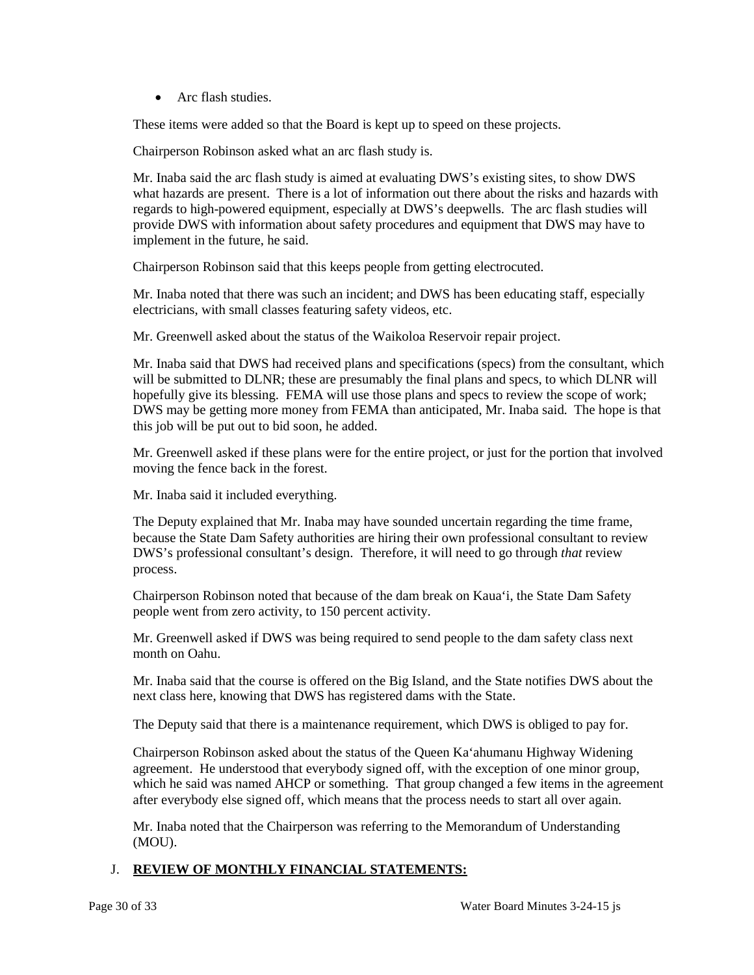• Arc flash studies.

These items were added so that the Board is kept up to speed on these projects.

Chairperson Robinson asked what an arc flash study is.

 what hazards are present. There is a lot of information out there about the risks and hazards with regards to high-powered equipment, especially at DWS's deepwells. The arc flash studies will provide DWS with information about safety procedures and equipment that DWS may have to Mr. Inaba said the arc flash study is aimed at evaluating DWS's existing sites, to show DWS implement in the future, he said.

Chairperson Robinson said that this keeps people from getting electrocuted.

 Mr. Inaba noted that there was such an incident; and DWS has been educating staff, especially electricians, with small classes featuring safety videos, etc.

Mr. Greenwell asked about the status of the Waikoloa Reservoir repair project.

 DWS may be getting more money from FEMA than anticipated, Mr. Inaba said. The hope is that Mr. Inaba said that DWS had received plans and specifications (specs) from the consultant, which will be submitted to DLNR; these are presumably the final plans and specs, to which DLNR will hopefully give its blessing. FEMA will use those plans and specs to review the scope of work; this job will be put out to bid soon, he added.

 Mr. Greenwell asked if these plans were for the entire project, or just for the portion that involved moving the fence back in the forest.

Mr. Inaba said it included everything.

The Deputy explained that Mr. Inaba may have sounded uncertain regarding the time frame, because the State Dam Safety authorities are hiring their own professional consultant to review DWS's professional consultant's design. Therefore, it will need to go through *that* review process.

Chairperson Robinson noted that because of the dam break on Kaua'i, the State Dam Safety people went from zero activity, to 150 percent activity.

Mr. Greenwell asked if DWS was being required to send people to the dam safety class next month on Oahu.

Mr. Inaba said that the course is offered on the Big Island, and the State notifies DWS about the next class here, knowing that DWS has registered dams with the State.

The Deputy said that there is a maintenance requirement, which DWS is obliged to pay for.

 Chairperson Robinson asked about the status of the Queen Ka'ahumanu Highway Widening agreement. He understood that everybody signed off, with the exception of one minor group, which he said was named AHCP or something. That group changed a few items in the agreement after everybody else signed off, which means that the process needs to start all over again.

Mr. Inaba noted that the Chairperson was referring to the Memorandum of Understanding (MOU).

# J. **REVIEW OF MONTHLY FINANCIAL STATEMENTS:**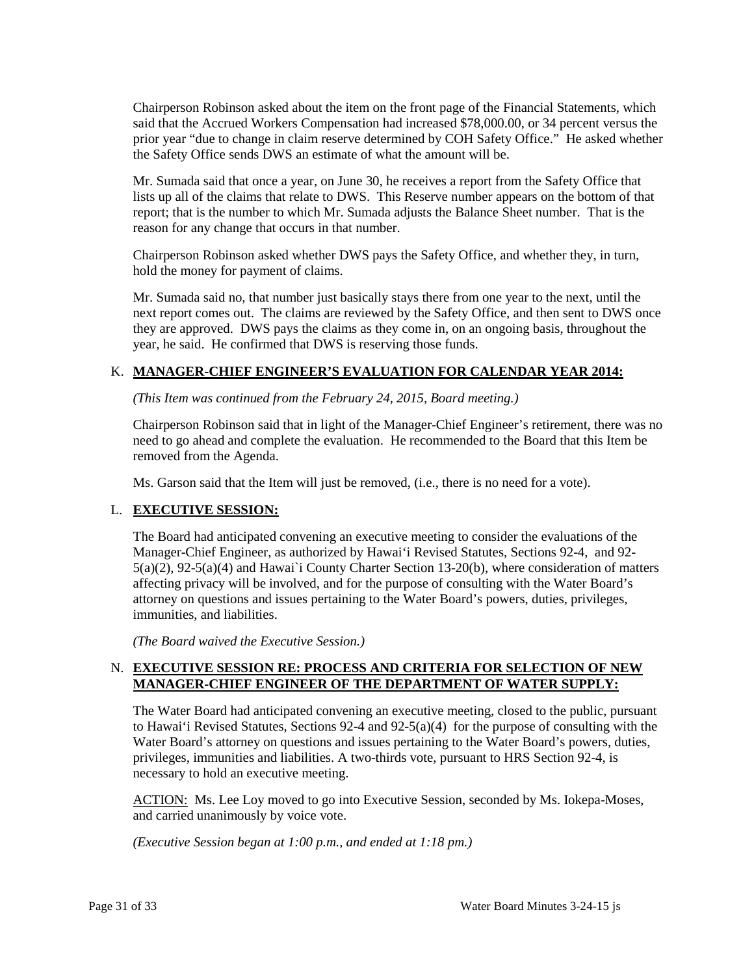Chairperson Robinson asked about the item on the front page of the Financial Statements, which said that the Accrued Workers Compensation had increased \$78,000.00, or 34 percent versus the prior year "due to change in claim reserve determined by COH Safety Office." He asked whether the Safety Office sends DWS an estimate of what the amount will be.

Mr. Sumada said that once a year, on June 30, he receives a report from the Safety Office that lists up all of the claims that relate to DWS. This Reserve number appears on the bottom of that report; that is the number to which Mr. Sumada adjusts the Balance Sheet number. That is the reason for any change that occurs in that number.

Chairperson Robinson asked whether DWS pays the Safety Office, and whether they, in turn, hold the money for payment of claims.

 Mr. Sumada said no, that number just basically stays there from one year to the next, until the next report comes out. The claims are reviewed by the Safety Office, and then sent to DWS once they are approved. DWS pays the claims as they come in, on an ongoing basis, throughout the year, he said. He confirmed that DWS is reserving those funds.

#### K. **MANAGER-CHIEF ENGINEER'S EVALUATION FOR CALENDAR YEAR 2014:**

*(This Item was continued from the February 24, 2015, Board meeting.)* 

Chairperson Robinson said that in light of the Manager-Chief Engineer's retirement, there was no need to go ahead and complete the evaluation. He recommended to the Board that this Item be removed from the Agenda.

Ms. Garson said that the Item will just be removed, (i.e., there is no need for a vote).

#### L. **EXECUTIVE SESSION:**

The Board had anticipated convening an executive meeting to consider the evaluations of the Manager-Chief Engineer, as authorized by Hawai'i Revised Statutes, Sections 92-4, and 92 5(a)(2), 92-5(a)(4) and Hawai`i County Charter Section 13-20(b), where consideration of matters affecting privacy will be involved, and for the purpose of consulting with the Water Board's attorney on questions and issues pertaining to the Water Board's powers, duties, privileges, immunities, and liabilities.

*(The Board waived the Executive Session.)* 

### N. **EXECUTIVE SESSION RE: PROCESS AND CRITERIA FOR SELECTION OF NEW MANAGER-CHIEF ENGINEER OF THE DEPARTMENT OF WATER SUPPLY:**

 to Hawai'i Revised Statutes, Sections 92-4 and 92-5(a)(4) for the purpose of consulting with the privileges, immunities and liabilities. A two-thirds vote, pursuant to HRS Section 92-4, is The Water Board had anticipated convening an executive meeting, closed to the public, pursuant Water Board's attorney on questions and issues pertaining to the Water Board's powers, duties, necessary to hold an executive meeting.

ACTION: Ms. Lee Loy moved to go into Executive Session, seconded by Ms. Iokepa-Moses, and carried unanimously by voice vote.

 *(Executive Session began at 1:00 p.m., and ended at 1:18 pm.)*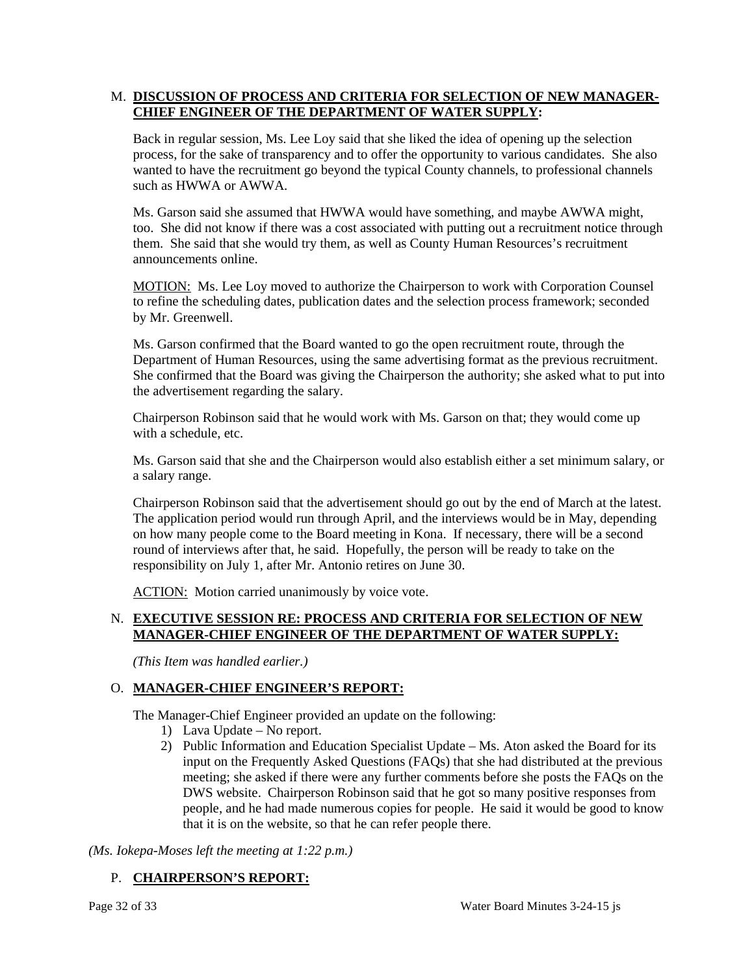# M. **DISCUSSION OF PROCESS AND CRITERIA FOR SELECTION OF NEW MANAGER-CHIEF ENGINEER OF THE DEPARTMENT OF WATER SUPPLY:**

 Back in regular session, Ms. Lee Loy said that she liked the idea of opening up the selection process, for the sake of transparency and to offer the opportunity to various candidates. She also wanted to have the recruitment go beyond the typical County channels, to professional channels such as HWWA or AWWA.

Ms. Garson said she assumed that HWWA would have something, and maybe AWWA might, too. She did not know if there was a cost associated with putting out a recruitment notice through them. She said that she would try them, as well as County Human Resources's recruitment announcements online.

MOTION: Ms. Lee Loy moved to authorize the Chairperson to work with Corporation Counsel to refine the scheduling dates, publication dates and the selection process framework; seconded by Mr. Greenwell.

Department of Human Resources, using the same advertising format as the previous recruitment. Ms. Garson confirmed that the Board wanted to go the open recruitment route, through the She confirmed that the Board was giving the Chairperson the authority; she asked what to put into the advertisement regarding the salary.

Chairperson Robinson said that he would work with Ms. Garson on that; they would come up with a schedule, etc.

 Ms. Garson said that she and the Chairperson would also establish either a set minimum salary, or a salary range.

 Chairperson Robinson said that the advertisement should go out by the end of March at the latest. The application period would run through April, and the interviews would be in May, depending on how many people come to the Board meeting in Kona. If necessary, there will be a second round of interviews after that, he said. Hopefully, the person will be ready to take on the responsibility on July 1, after Mr. Antonio retires on June 30.

ACTION: Motion carried unanimously by voice vote.

# N. **EXECUTIVE SESSION RE: PROCESS AND CRITERIA FOR SELECTION OF NEW MANAGER-CHIEF ENGINEER OF THE DEPARTMENT OF WATER SUPPLY:**

*(This Item was handled earlier.)* 

#### O. **MANAGER-CHIEF ENGINEER'S REPORT:**

The Manager-Chief Engineer provided an update on the following:

- 1) Lava Update No report.
- input on the Frequently Asked Questions (FAQs) that she had distributed at the previous that it is on the website, so that he can refer people there. 2) Public Information and Education Specialist Update – Ms. Aton asked the Board for its meeting; she asked if there were any further comments before she posts the FAQs on the DWS website. Chairperson Robinson said that he got so many positive responses from people, and he had made numerous copies for people. He said it would be good to know

*(Ms. Iokepa-Moses left the meeting at 1:22 p.m.)* 

# P. **CHAIRPERSON'S REPORT:**